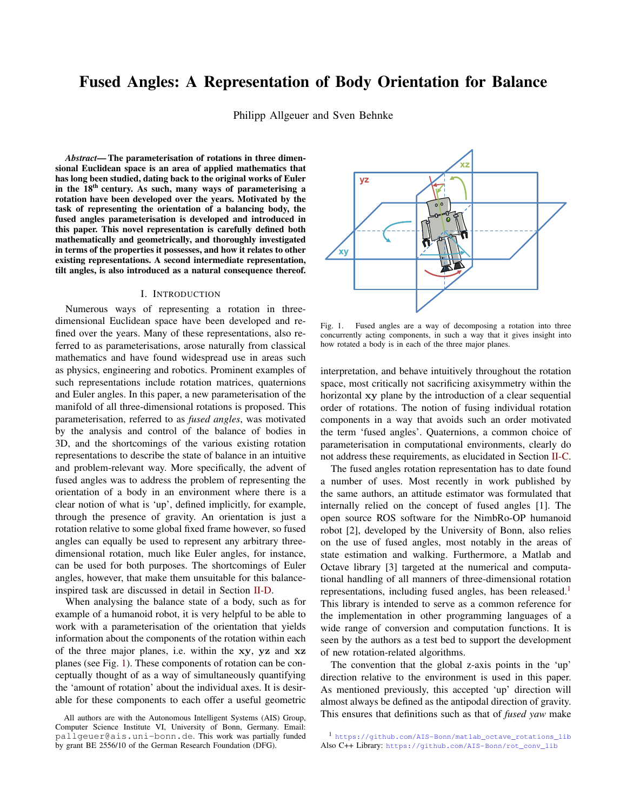# Fused Angles: A Representation of Body Orientation for Balance

Philipp Allgeuer and Sven Behnke

*Abstract*— The parameterisation of rotations in three dimensional Euclidean space is an area of applied mathematics that has long been studied, dating back to the original works of Euler in the  $18<sup>th</sup>$  century. As such, many ways of parameterising a rotation have been developed over the years. Motivated by the task of representing the orientation of a balancing body, the fused angles parameterisation is developed and introduced in this paper. This novel representation is carefully defined both mathematically and geometrically, and thoroughly investigated in terms of the properties it possesses, and how it relates to other existing representations. A second intermediate representation, tilt angles, is also introduced as a natural consequence thereof.

#### I. INTRODUCTION

<span id="page-0-2"></span>Numerous ways of representing a rotation in threedimensional Euclidean space have been developed and refined over the years. Many of these representations, also referred to as parameterisations, arose naturally from classical mathematics and have found widespread use in areas such as physics, engineering and robotics. Prominent examples of such representations include rotation matrices, quaternions and Euler angles. In this paper, a new parameterisation of the manifold of all three-dimensional rotations is proposed. This parameterisation, referred to as *fused angles*, was motivated by the analysis and control of the balance of bodies in 3D, and the shortcomings of the various existing rotation representations to describe the state of balance in an intuitive and problem-relevant way. More specifically, the advent of fused angles was to address the problem of representing the orientation of a body in an environment where there is a clear notion of what is 'up', defined implicitly, for example, through the presence of gravity. An orientation is just a rotation relative to some global fixed frame however, so fused angles can equally be used to represent any arbitrary threedimensional rotation, much like Euler angles, for instance, can be used for both purposes. The shortcomings of Euler angles, however, that make them unsuitable for this balanceinspired task are discussed in detail in Section [II-D.](#page-1-0)

When analysing the balance state of a body, such as for example of a humanoid robot, it is very helpful to be able to work with a parameterisation of the orientation that yields information about the components of the rotation within each of the three major planes, i.e. within the xy, yz and xz planes (see Fig. [1\)](#page-0-0). These components of rotation can be conceptually thought of as a way of simultaneously quantifying the 'amount of rotation' about the individual axes. It is desirable for these components to each offer a useful geometric

<span id="page-0-0"></span>

Fig. 1. Fused angles are a way of decomposing a rotation into three concurrently acting components, in such a way that it gives insight into how rotated a body is in each of the three major planes.

interpretation, and behave intuitively throughout the rotation space, most critically not sacrificing axisymmetry within the horizontal xy plane by the introduction of a clear sequential order of rotations. The notion of fusing individual rotation components in a way that avoids such an order motivated the term 'fused angles'. Quaternions, a common choice of parameterisation in computational environments, clearly do not address these requirements, as elucidated in Section [II-C.](#page-1-1)

The fused angles rotation representation has to date found a number of uses. Most recently in work published by the same authors, an attitude estimator was formulated that internally relied on the concept of fused angles [1]. The open source ROS software for the NimbRo-OP humanoid robot [2], developed by the University of Bonn, also relies on the use of fused angles, most notably in the areas of state estimation and walking. Furthermore, a Matlab and Octave library [3] targeted at the numerical and computational handling of all manners of three-dimensional rotation representations, including fused angles, has been released.<sup>[1](#page-0-1)</sup> This library is intended to serve as a common reference for the implementation in other programming languages of a wide range of conversion and computation functions. It is seen by the authors as a test bed to support the development of new rotation-related algorithms.

The convention that the global z-axis points in the 'up' direction relative to the environment is used in this paper. As mentioned previously, this accepted 'up' direction will almost always be defined as the antipodal direction of gravity. This ensures that definitions such as that of *fused yaw* make

All authors are with the Autonomous Intelligent Systems (AIS) Group, Computer Science Institute VI, University of Bonn, Germany. Email: pallgeuer@ais.uni-bonn.de. This work was partially funded by grant BE 2556/10 of the German Research Foundation (DFG).

<span id="page-0-1"></span><sup>1</sup> [https://github.com/AIS-Bonn/matlab\\_octave\\_rotations\\_lib](https://github.com/AIS-Bonn/matlab_octave_rotations_lib) Also C++ Library: [https://github.com/AIS-Bonn/rot\\_conv\\_lib](https://github.com/AIS-Bonn/rot_conv_lib)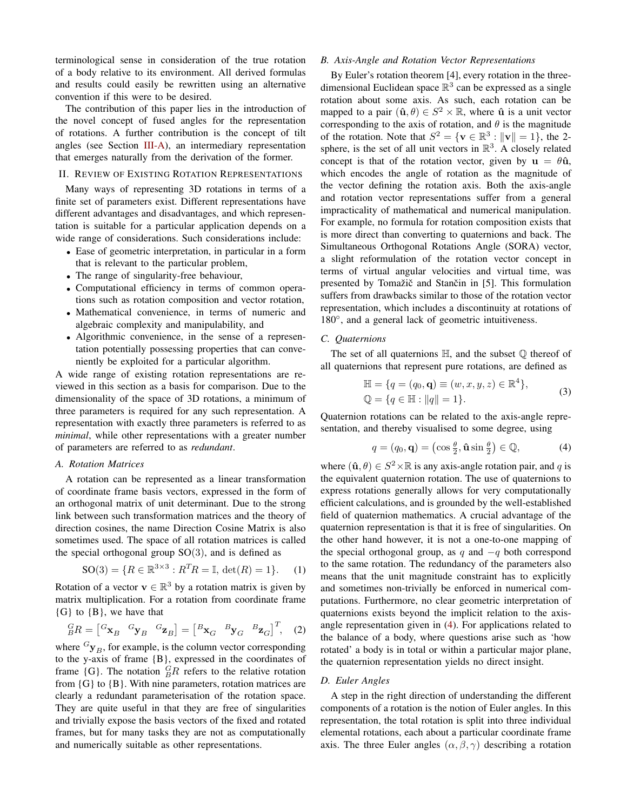terminological sense in consideration of the true rotation of a body relative to its environment. All derived formulas and results could easily be rewritten using an alternative convention if this were to be desired.

The contribution of this paper lies in the introduction of the novel concept of fused angles for the representation of rotations. A further contribution is the concept of tilt angles (see Section [III-A\)](#page-2-0), an intermediary representation that emerges naturally from the derivation of the former.

#### <span id="page-1-3"></span>II. REVIEW OF EXISTING ROTATION REPRESENTATIONS

Many ways of representing 3D rotations in terms of a finite set of parameters exist. Different representations have different advantages and disadvantages, and which representation is suitable for a particular application depends on a wide range of considerations. Such considerations include:

- Ease of geometric interpretation, in particular in a form that is relevant to the particular problem,
- The range of singularity-free behaviour,
- Computational efficiency in terms of common operations such as rotation composition and vector rotation,
- Mathematical convenience, in terms of numeric and algebraic complexity and manipulability, and
- Algorithmic convenience, in the sense of a representation potentially possessing properties that can conveniently be exploited for a particular algorithm.

A wide range of existing rotation representations are reviewed in this section as a basis for comparison. Due to the dimensionality of the space of 3D rotations, a minimum of three parameters is required for any such representation. A representation with exactly three parameters is referred to as *minimal*, while other representations with a greater number of parameters are referred to as *redundant*.

#### *A. Rotation Matrices*

A rotation can be represented as a linear transformation of coordinate frame basis vectors, expressed in the form of an orthogonal matrix of unit determinant. Due to the strong link between such transformation matrices and the theory of direction cosines, the name Direction Cosine Matrix is also sometimes used. The space of all rotation matrices is called the special orthogonal group  $SO(3)$ , and is defined as

$$
SO(3) = \{ R \in \mathbb{R}^{3 \times 3} : R^T R = \mathbb{I}, \, \det(R) = 1 \}. \tag{1}
$$

Rotation of a vector  $\mathbf{v} \in \mathbb{R}^3$  by a rotation matrix is given by matrix multiplication. For a rotation from coordinate frame  ${G}$  to  ${B}$ , we have that

$$
{}_{B}^{G}R = \begin{bmatrix} {}^{G}\mathbf{x}_{B} & {}^{G}\mathbf{y}_{B} & {}^{G}\mathbf{z}_{B} \end{bmatrix} = \begin{bmatrix} {}^{B}\mathbf{x}_{G} & {}^{B}\mathbf{y}_{G} & {}^{B}\mathbf{z}_{G} \end{bmatrix}^{T}, \quad (2)
$$

where  ${}^{G}_{\mathbf{y}_{B}}$ , for example, is the column vector corresponding to the y-axis of frame {B}, expressed in the coordinates of frame {G}. The notation  ${}_{B}^{G}R$  refers to the relative rotation from {G} to {B}. With nine parameters, rotation matrices are clearly a redundant parameterisation of the rotation space. They are quite useful in that they are free of singularities and trivially expose the basis vectors of the fixed and rotated frames, but for many tasks they are not as computationally and numerically suitable as other representations.

# <span id="page-1-4"></span>*B. Axis-Angle and Rotation Vector Representations*

By Euler's rotation theorem [4], every rotation in the threedimensional Euclidean space  $\mathbb{R}^3$  can be expressed as a single rotation about some axis. As such, each rotation can be mapped to a pair  $(\hat{\mathbf{u}}, \theta) \in S^2 \times \mathbb{R}$ , where  $\hat{\mathbf{u}}$  is a unit vector corresponding to the axis of rotation, and  $\theta$  is the magnitude of the rotation. Note that  $S^2 = \{ \mathbf{v} \in \mathbb{R}^3 : ||\mathbf{v}|| = 1 \},$  the 2sphere, is the set of all unit vectors in  $\mathbb{R}^3$ . A closely related concept is that of the rotation vector, given by  $u = \theta \hat{u}$ , which encodes the angle of rotation as the magnitude of the vector defining the rotation axis. Both the axis-angle and rotation vector representations suffer from a general impracticality of mathematical and numerical manipulation. For example, no formula for rotation composition exists that is more direct than converting to quaternions and back. The Simultaneous Orthogonal Rotations Angle (SORA) vector, a slight reformulation of the rotation vector concept in terms of virtual angular velocities and virtual time, was presented by Tomažič and Stančin in [5]. This formulation suffers from drawbacks similar to those of the rotation vector representation, which includes a discontinuity at rotations of 180<sup>°</sup>, and a general lack of geometric intuitiveness.

# <span id="page-1-1"></span>*C. Quaternions*

The set of all quaternions  $H$ , and the subset  $\mathbb Q$  thereof of all quaternions that represent pure rotations, are defined as

$$
\mathbb{H} = \{ q = (q_0, \mathbf{q}) \equiv (w, x, y, z) \in \mathbb{R}^4 \},
$$
  
\n
$$
\mathbb{Q} = \{ q \in \mathbb{H} : ||q|| = 1 \}.
$$
\n(3)

Quaternion rotations can be related to the axis-angle representation, and thereby visualised to some degree, using

<span id="page-1-2"></span>
$$
q = (q_0, \mathbf{q}) = (\cos \frac{\theta}{2}, \hat{\mathbf{u}} \sin \frac{\theta}{2}) \in \mathbb{Q}, \tag{4}
$$

where  $(\hat{\mathbf{u}}, \theta) \in S^2 \times \mathbb{R}$  is any axis-angle rotation pair, and q is the equivalent quaternion rotation. The use of quaternions to express rotations generally allows for very computationally efficient calculations, and is grounded by the well-established field of quaternion mathematics. A crucial advantage of the quaternion representation is that it is free of singularities. On the other hand however, it is not a one-to-one mapping of the special orthogonal group, as q and  $-q$  both correspond to the same rotation. The redundancy of the parameters also means that the unit magnitude constraint has to explicitly and sometimes non-trivially be enforced in numerical computations. Furthermore, no clear geometric interpretation of quaternions exists beyond the implicit relation to the axisangle representation given in [\(4\)](#page-1-2). For applications related to the balance of a body, where questions arise such as 'how rotated' a body is in total or within a particular major plane, the quaternion representation yields no direct insight.

# <span id="page-1-0"></span>*D. Euler Angles*

A step in the right direction of understanding the different components of a rotation is the notion of Euler angles. In this representation, the total rotation is split into three individual elemental rotations, each about a particular coordinate frame axis. The three Euler angles  $(\alpha, \beta, \gamma)$  describing a rotation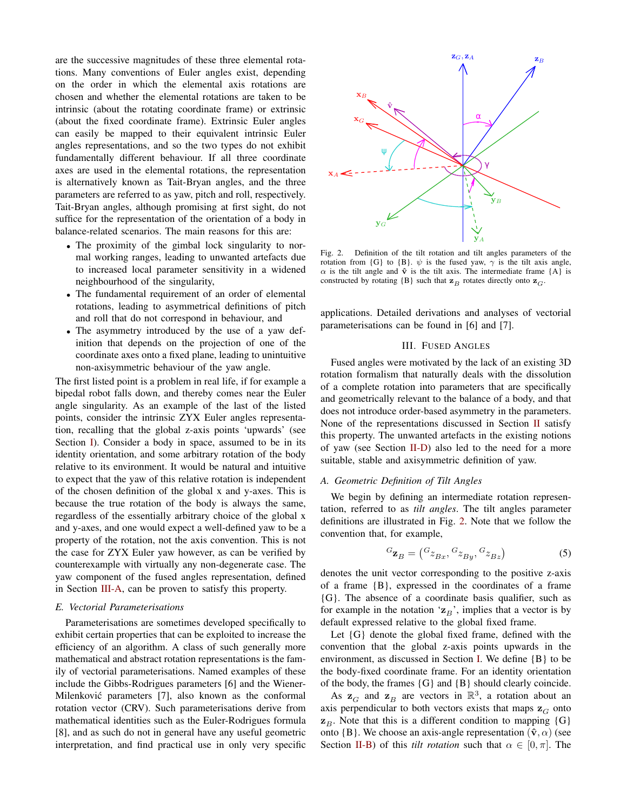are the successive magnitudes of these three elemental rotations. Many conventions of Euler angles exist, depending on the order in which the elemental axis rotations are chosen and whether the elemental rotations are taken to be intrinsic (about the rotating coordinate frame) or extrinsic (about the fixed coordinate frame). Extrinsic Euler angles can easily be mapped to their equivalent intrinsic Euler angles representations, and so the two types do not exhibit fundamentally different behaviour. If all three coordinate axes are used in the elemental rotations, the representation is alternatively known as Tait-Bryan angles, and the three parameters are referred to as yaw, pitch and roll, respectively. Tait-Bryan angles, although promising at first sight, do not suffice for the representation of the orientation of a body in balance-related scenarios. The main reasons for this are:

- The proximity of the gimbal lock singularity to normal working ranges, leading to unwanted artefacts due to increased local parameter sensitivity in a widened neighbourhood of the singularity,
- The fundamental requirement of an order of elemental rotations, leading to asymmetrical definitions of pitch and roll that do not correspond in behaviour, and
- The asymmetry introduced by the use of a yaw definition that depends on the projection of one of the coordinate axes onto a fixed plane, leading to unintuitive non-axisymmetric behaviour of the yaw angle.

The first listed point is a problem in real life, if for example a bipedal robot falls down, and thereby comes near the Euler angle singularity. As an example of the last of the listed points, consider the intrinsic ZYX Euler angles representation, recalling that the global z-axis points 'upwards' (see Section [I\)](#page-0-2). Consider a body in space, assumed to be in its identity orientation, and some arbitrary rotation of the body relative to its environment. It would be natural and intuitive to expect that the yaw of this relative rotation is independent of the chosen definition of the global x and y-axes. This is because the true rotation of the body is always the same, regardless of the essentially arbitrary choice of the global x and y-axes, and one would expect a well-defined yaw to be a property of the rotation, not the axis convention. This is not the case for ZYX Euler yaw however, as can be verified by counterexample with virtually any non-degenerate case. The yaw component of the fused angles representation, defined in Section [III-A,](#page-2-0) can be proven to satisfy this property.

#### *E. Vectorial Parameterisations*

Parameterisations are sometimes developed specifically to exhibit certain properties that can be exploited to increase the efficiency of an algorithm. A class of such generally more mathematical and abstract rotation representations is the family of vectorial parameterisations. Named examples of these include the Gibbs-Rodrigues parameters [6] and the Wiener-Milenković parameters [7], also known as the conformal rotation vector (CRV). Such parameterisations derive from mathematical identities such as the Euler-Rodrigues formula [8], and as such do not in general have any useful geometric interpretation, and find practical use in only very specific

<span id="page-2-1"></span>

Fig. 2. Definition of the tilt rotation and tilt angles parameters of the rotation from {G} to {B}.  $\psi$  is the fused yaw,  $\gamma$  is the tilt axis angle,  $\alpha$  is the tilt angle and  $\hat{v}$  is the tilt axis. The intermediate frame {A} is constructed by rotating  ${B}$  such that  $\mathbf{z}_B$  rotates directly onto  $\mathbf{z}_G$ .

applications. Detailed derivations and analyses of vectorial parameterisations can be found in [6] and [7].

#### III. FUSED ANGLES

Fused angles were motivated by the lack of an existing 3D rotation formalism that naturally deals with the dissolution of a complete rotation into parameters that are specifically and geometrically relevant to the balance of a body, and that does not introduce order-based asymmetry in the parameters. None of the representations discussed in Section [II](#page-1-3) satisfy this property. The unwanted artefacts in the existing notions of yaw (see Section [II-D\)](#page-1-0) also led to the need for a more suitable, stable and axisymmetric definition of yaw.

# <span id="page-2-0"></span>*A. Geometric Definition of Tilt Angles*

We begin by defining an intermediate rotation representation, referred to as *tilt angles*. The tilt angles parameter definitions are illustrated in Fig. [2.](#page-2-1) Note that we follow the convention that, for example,

$$
{}^{G}\mathbf{z}_{B} = ({}^{G}z_{Bx}, {}^{G}z_{By}, {}^{G}z_{Bz})
$$
 (5)

denotes the unit vector corresponding to the positive z-axis of a frame {B}, expressed in the coordinates of a frame {G}. The absence of a coordinate basis qualifier, such as for example in the notation ' $z_B$ ', implies that a vector is by default expressed relative to the global fixed frame.

Let {G} denote the global fixed frame, defined with the convention that the global z-axis points upwards in the environment, as discussed in Section [I.](#page-0-2) We define {B} to be the body-fixed coordinate frame. For an identity orientation of the body, the frames {G} and {B} should clearly coincide.

As  $\mathbf{z}_G$  and  $\mathbf{z}_B$  are vectors in  $\mathbb{R}^3$ , a rotation about an axis perpendicular to both vectors exists that maps  $z_G$  onto  $z_B$ . Note that this is a different condition to mapping  ${G}$ onto {B}. We choose an axis-angle representation  $(\hat{\mathbf{v}}, \alpha)$  (see Section [II-B\)](#page-1-4) of this *tilt rotation* such that  $\alpha \in [0, \pi]$ . The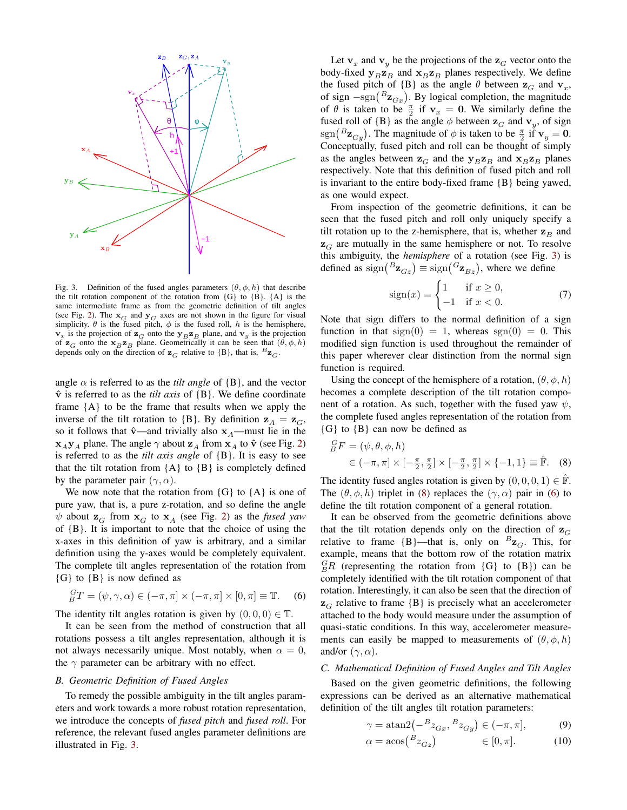<span id="page-3-0"></span>

Fig. 3. Definition of the fused angles parameters  $(\theta, \phi, h)$  that describe the tilt rotation component of the rotation from  ${G}$  to  ${B}$ .  ${A}$  is the same intermediate frame as from the geometric definition of tilt angles (see Fig. [2\)](#page-2-1). The  $x_G$  and  $y_G$  axes are not shown in the figure for visual simplicity.  $\theta$  is the fused pitch,  $\phi$  is the fused roll, h is the hemisphere,  $\mathbf{v}_x$  is the projection of  $\mathbf{z}_G$  onto the  $\mathbf{y}_B \mathbf{z}_B$  plane, and  $\mathbf{v}_y$  is the projection of  $\mathbf{z}_G$  onto the  $\mathbf{x}_B \mathbf{z}_B$  plane. Geometrically it can be seen that  $(\theta, \phi, h)$ depends only on the direction of  $\mathbf{z}_G$  relative to {B}, that is,  ${}^B\mathbf{z}_G$ .

angle  $\alpha$  is referred to as the *tilt angle* of  ${B}$ , and the vector  $\hat{v}$  is referred to as the *tilt axis* of  ${B}$ . We define coordinate frame {A} to be the frame that results when we apply the inverse of the tilt rotation to {B}. By definition  $z_A = z_G$ , so it follows that  $\hat{v}$ —and trivially also  $x_A$ —must lie in the  $x_A y_A$  plane. The angle  $\gamma$  about  $z_A$  from  $x_A$  to  $\hat{v}$  (see Fig. [2\)](#page-2-1) is referred to as the *tilt axis angle* of {B}. It is easy to see that the tilt rotation from  ${A}$  to  ${B}$  is completely defined by the parameter pair  $(\gamma, \alpha)$ .

We now note that the rotation from  $\{G\}$  to  $\{A\}$  is one of pure yaw, that is, a pure z-rotation, and so define the angle  $\psi$  about  $\mathbf{z}_G$  from  $\mathbf{x}_G$  to  $\mathbf{x}_A$  (see Fig. [2\)](#page-2-1) as the *fused yaw* of {B}. It is important to note that the choice of using the x-axes in this definition of yaw is arbitrary, and a similar definition using the y-axes would be completely equivalent. The complete tilt angles representation of the rotation from {G} to {B} is now defined as

<span id="page-3-2"></span>
$$
^GBT=(\psi,\gamma,\alpha)\in(-\pi,\pi]\times(-\pi,\pi]\times[0,\pi]\equiv\mathbb{T}.\quad(6)
$$

The identity tilt angles rotation is given by  $(0, 0, 0) \in \mathbb{T}$ .

It can be seen from the method of construction that all rotations possess a tilt angles representation, although it is not always necessarily unique. Most notably, when  $\alpha = 0$ , the  $\gamma$  parameter can be arbitrary with no effect.

# *B. Geometric Definition of Fused Angles*

To remedy the possible ambiguity in the tilt angles parameters and work towards a more robust rotation representation, we introduce the concepts of *fused pitch* and *fused roll*. For reference, the relevant fused angles parameter definitions are illustrated in Fig. [3.](#page-3-0)

Let  $\mathbf{v}_x$  and  $\mathbf{v}_y$  be the projections of the  $\mathbf{z}_G$  vector onto the body-fixed  $y_Bz_B$  and  $x_Bz_B$  planes respectively. We define the fused pitch of {B} as the angle  $\theta$  between  $z_G$  and  $v_x$ , of sign  $-\text{sgn}\binom{B_{\mathbf{Z}}}{G_{\mathbf{Z}}}$ . By logical completion, the magnitude of  $\theta$  is taken to be  $\frac{\pi}{2}$  if  $\mathbf{v}_x = \mathbf{0}$ . We similarly define the fused roll of {B} as the angle  $\phi$  between  $z_G$  and  $v_y$ , of sign sgn $\left(^{B}\mathbf{z}_{Gy}\right)$ . The magnitude of  $\phi$  is taken to be  $\frac{\pi}{2}$  if  $\mathbf{v}_y = \mathbf{0}$ . Conceptually, fused pitch and roll can be thought of simply as the angles between  $z_G$  and the  $y_Bz_B$  and  $x_Bz_B$  planes respectively. Note that this definition of fused pitch and roll is invariant to the entire body-fixed frame {B} being yawed, as one would expect.

From inspection of the geometric definitions, it can be seen that the fused pitch and roll only uniquely specify a tilt rotation up to the z-hemisphere, that is, whether  $z_B$  and  $z<sub>G</sub>$  are mutually in the same hemisphere or not. To resolve this ambiguity, the *hemisphere* of a rotation (see Fig. [3\)](#page-3-0) is defined as  $sign({{}^B\mathbf{z}}_{Gz})$  =  $sign({{}^G\mathbf{z}}_{Bz})$ , where we define

$$
sign(x) = \begin{cases} 1 & \text{if } x \ge 0, \\ -1 & \text{if } x < 0. \end{cases}
$$
 (7)

Note that sign differs to the normal definition of a sign function in that  $sign(0) = 1$ , whereas  $sgn(0) = 0$ . This modified sign function is used throughout the remainder of this paper wherever clear distinction from the normal sign function is required.

Using the concept of the hemisphere of a rotation,  $(\theta, \phi, h)$ becomes a complete description of the tilt rotation component of a rotation. As such, together with the fused yaw  $\psi$ , the complete fused angles representation of the rotation from {G} to {B} can now be defined as

<span id="page-3-1"></span>
$$
\begin{aligned} \n\tilde{B}F &= (\psi, \theta, \phi, h) \\ \n&\in (-\pi, \pi] \times [-\frac{\pi}{2}, \frac{\pi}{2}] \times [-\frac{\pi}{2}, \frac{\pi}{2}] \times \{-1, 1\} \equiv \hat{\mathbb{F}}. \n\end{aligned} \tag{8}
$$

The identity fused angles rotation is given by  $(0, 0, 0, 1) \in \mathbb{F}$ . The  $(\theta, \phi, h)$  triplet in [\(8\)](#page-3-1) replaces the  $(\gamma, \alpha)$  pair in [\(6\)](#page-3-2) to define the tilt rotation component of a general rotation.

It can be observed from the geometric definitions above that the tilt rotation depends only on the direction of  $\mathbf{z}_G$ relative to frame  ${B}$ -that is, only on  ${}^{B}z_G$ . This, for example, means that the bottom row of the rotation matrix  ${}_{B}^{G}R$  (representing the rotation from {G} to {B}) can be completely identified with the tilt rotation component of that rotation. Interestingly, it can also be seen that the direction of  $z_G$  relative to frame {B} is precisely what an accelerometer attached to the body would measure under the assumption of quasi-static conditions. In this way, accelerometer measurements can easily be mapped to measurements of  $(\theta, \phi, h)$ and/or  $(\gamma, \alpha)$ .

# *C. Mathematical Definition of Fused Angles and Tilt Angles*

Based on the given geometric definitions, the following expressions can be derived as an alternative mathematical definition of the tilt angles tilt rotation parameters:

$$
\gamma = \operatorname{atan2}(-{}^{B}z_{Gx}, {}^{B}z_{Gy}) \in (-\pi, \pi],\tag{9}
$$

<span id="page-3-3"></span>
$$
\alpha = \text{acos}\left(\frac{B_{z}}{G_{z}}\right) \qquad \in [0, \pi]. \tag{10}
$$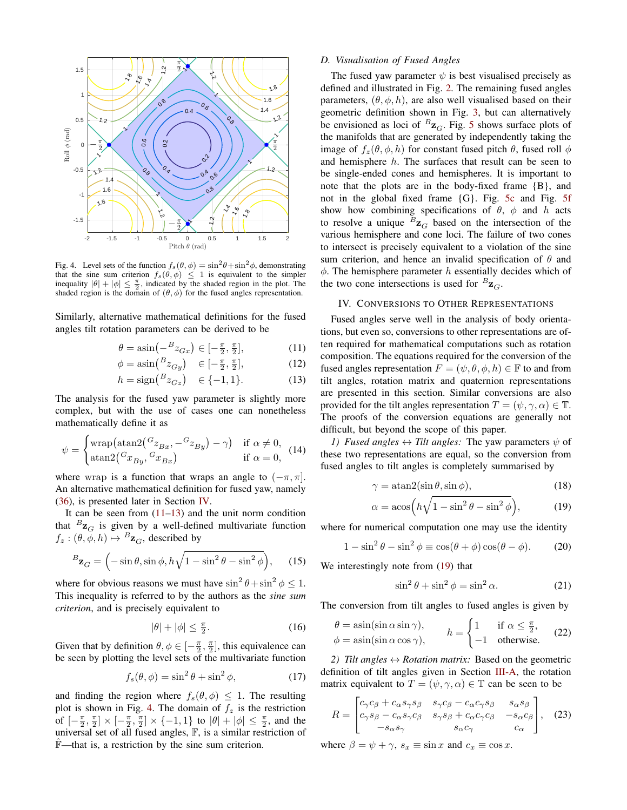<span id="page-4-3"></span>

Fig. 4. Level sets of the function  $f_s(\theta, \phi) = \sin^2 \theta + \sin^2 \phi$ , demonstrating that the sine sum criterion  $f_s(\theta, \phi) \leq 1$  is equivalent to the simpler inequality  $|\theta| + |\phi| \leq \frac{\pi}{2}$ , indicated by the shaded region in the plot. The shaded region is the domain of  $(\theta, \phi)$  for the fused angles representation.

Similarly, alternative mathematical definitions for the fused angles tilt rotation parameters can be derived to be

$$
\theta = \operatorname{asin}(-{}^{B}z_{Gx}) \in [-\frac{\pi}{2}, \frac{\pi}{2}],\tag{11}
$$

$$
\phi = \operatorname{asin}^{\left(B_{\mathcal{Z}_{G_y}}\right)} \quad \in [-\tfrac{\pi}{2}, \tfrac{\pi}{2}],\tag{12}
$$

$$
h = sign\binom{B_{Z_{Gz}}}{\epsilon} \quad \in \{-1, 1\}.
$$
 (13)

The analysis for the fused yaw parameter is slightly more complex, but with the use of cases one can nonetheless mathematically define it as

<span id="page-4-7"></span>
$$
\psi = \begin{cases} \text{wrap}\left(\text{atan2}\left(\frac{G_{Z_{Bx}}, -G_{Z_{By}}}\right) - \gamma\right) & \text{if } \alpha \neq 0, \\ \text{atan2}\left(\frac{G_{x_{By}}, G_{x_{Bx}}}\right) & \text{if } \alpha = 0, \end{cases} \tag{14}
$$

where wrap is a function that wraps an angle to  $(-\pi, \pi]$ . An alternative mathematical definition for fused yaw, namely [\(36\)](#page-6-0), is presented later in Section [IV.](#page-4-0)

It can be seen from  $(11-13)$  $(11-13)$  and the unit norm condition that  ${}^B\mathbf{z}_G$  is given by a well-defined multivariate function  $f_z: (\theta, \dot{\phi}, h) \mapsto {}^B{\bf z}_G$ , described by

$$
{}^{B}\mathbf{z}_{G} = \left(-\sin\theta, \sin\phi, h\sqrt{1-\sin^{2}\theta-\sin^{2}\phi}\right),\qquad(15)
$$

where for obvious reasons we must have  $\sin^2 \theta + \sin^2 \phi \leq 1$ . This inequality is referred to by the authors as the *sine sum criterion*, and is precisely equivalent to

$$
|\theta| + |\phi| \le \frac{\pi}{2}.\tag{16}
$$

Given that by definition  $\theta$ ,  $\phi \in [-\frac{\pi}{2}, \frac{\pi}{2}]$ , this equivalence can be seen by plotting the level sets of the multivariate function

$$
f_s(\theta, \phi) = \sin^2 \theta + \sin^2 \phi, \qquad (17)
$$

and finding the region where  $f_s(\theta, \phi) \leq 1$ . The resulting plot is shown in Fig. [4.](#page-4-3) The domain of  $f<sub>z</sub>$  is the restriction of  $[-\frac{\pi}{2}, \frac{\pi}{2}] \times [-\frac{\pi}{2}, \frac{\pi}{2}] \times \{-1, 1\}$  to  $|\theta| + |\phi| \leq \frac{\pi}{2}$ , and the universal set of all fused angles,  $\mathbb{F}$ , is a similar restriction of F—that is, a restriction by the sine sum criterion.

#### *D. Visualisation of Fused Angles*

The fused yaw parameter  $\psi$  is best visualised precisely as defined and illustrated in Fig. [2.](#page-2-1) The remaining fused angles parameters,  $(\theta, \phi, h)$ , are also well visualised based on their geometric definition shown in Fig. [3,](#page-3-0) but can alternatively be envisioned as loci of  ${}^B\mathbf{z}_G$ . Fig. [5](#page-5-0) shows surface plots of the manifolds that are generated by independently taking the image of  $f_z(\theta, \phi, h)$  for constant fused pitch  $\theta$ , fused roll  $\phi$ and hemisphere  $h$ . The surfaces that result can be seen to be single-ended cones and hemispheres. It is important to note that the plots are in the body-fixed frame {B}, and not in the global fixed frame {G}. Fig. [5c](#page-5-0) and Fig. [5f](#page-5-0) show how combining specifications of  $\theta$ ,  $\phi$  and h acts to resolve a unique  ${}^B\mathbf{z}_G$  based on the intersection of the various hemisphere and cone loci. The failure of two cones to intersect is precisely equivalent to a violation of the sine sum criterion, and hence an invalid specification of  $\theta$  and  $\phi$ . The hemisphere parameter h essentially decides which of the two cone intersections is used for  ${}^B\mathbf{z}_G$ .

#### <span id="page-4-0"></span>IV. CONVERSIONS TO OTHER REPRESENTATIONS

<span id="page-4-2"></span><span id="page-4-1"></span>Fused angles serve well in the analysis of body orientations, but even so, conversions to other representations are often required for mathematical computations such as rotation composition. The equations required for the conversion of the fused angles representation  $F = (\psi, \theta, \phi, h) \in \mathbb{F}$  to and from tilt angles, rotation matrix and quaternion representations are presented in this section. Similar conversions are also provided for the tilt angles representation  $T = (\psi, \gamma, \alpha) \in \mathbb{T}$ . The proofs of the conversion equations are generally not difficult, but beyond the scope of this paper.

*1) Fused angles*  $\leftrightarrow$  *Tilt angles:* The yaw parameters  $\psi$  of these two representations are equal, so the conversion from fused angles to tilt angles is completely summarised by

<span id="page-4-5"></span>
$$
\gamma = \operatorname{atan2}(\sin \theta, \sin \phi),\tag{18}
$$

$$
\alpha = \arccos\left(h\sqrt{1 - \sin^2\theta - \sin^2\phi}\right),\tag{19}
$$

where for numerical computation one may use the identity

$$
1 - \sin^2 \theta - \sin^2 \phi \equiv \cos(\theta + \phi)\cos(\theta - \phi). \tag{20}
$$

We interestingly note from  $(19)$  that

<span id="page-4-9"></span><span id="page-4-8"></span><span id="page-4-4"></span>
$$
\sin^2 \theta + \sin^2 \phi = \sin^2 \alpha. \tag{21}
$$

The conversion from tilt angles to fused angles is given by

$$
\theta = \operatorname{asin}(\sin \alpha \sin \gamma),
$$
  
\n
$$
\phi = \operatorname{asin}(\sin \alpha \cos \gamma),
$$
  
\n
$$
h = \begin{cases} 1 & \text{if } \alpha \le \frac{\pi}{2}, \\ -1 & \text{otherwise.} \end{cases}
$$
 (22)

2) Tilt angles  $\leftrightarrow$  *Rotation matrix:* Based on the geometric definition of tilt angles given in Section [III-A,](#page-2-0) the rotation matrix equivalent to  $T = (\psi, \gamma, \alpha) \in \mathbb{T}$  can be seen to be

<span id="page-4-6"></span>
$$
R = \begin{bmatrix} c_{\gamma}c_{\beta} + c_{\alpha}s_{\gamma}s_{\beta} & s_{\gamma}c_{\beta} - c_{\alpha}c_{\gamma}s_{\beta} & s_{\alpha}s_{\beta} \\ c_{\gamma}s_{\beta} - c_{\alpha}s_{\gamma}c_{\beta} & s_{\gamma}s_{\beta} + c_{\alpha}c_{\gamma}c_{\beta} & -s_{\alpha}c_{\beta} \\ -s_{\alpha}s_{\gamma} & s_{\alpha}c_{\gamma} & c_{\alpha} \end{bmatrix}, \quad (23)
$$

where  $\beta = \psi + \gamma$ ,  $s_x \equiv \sin x$  and  $c_x \equiv \cos x$ .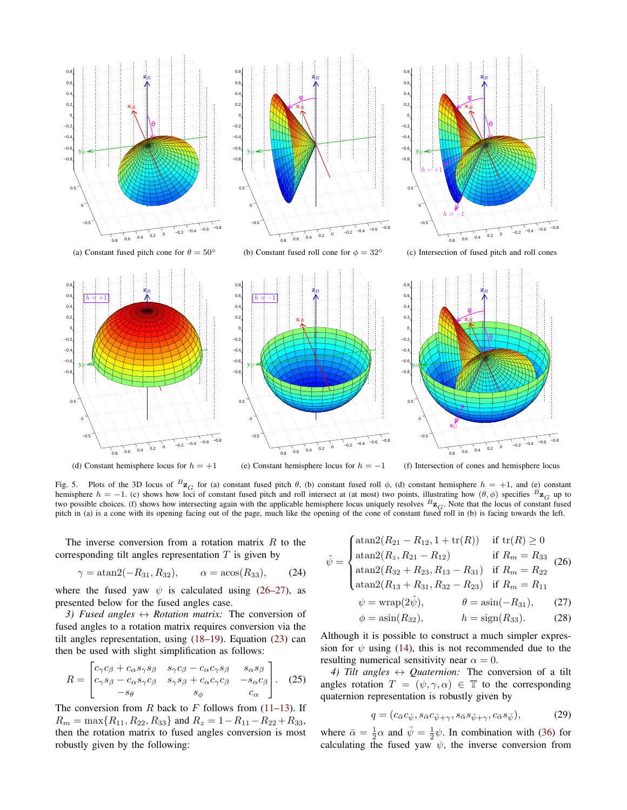<span id="page-5-0"></span>





(a) Constant fused pitch cone for  $\theta = 50^{\circ}$ 

(b) Constant fused roll cone for  $\phi = 32^\circ$ 



(d) Constant hemisphere locus for  $h = +1$ 



(e) Constant hemisphere locus for  $h = -1$ 

(c) Intersection of fused pitch and roll cones



(f) Intersection of cones and hemisphere locus

Fig. 5. Plots of the 3D locus of  ${}^B\mathbf{z}_G$  for (a) constant fused pitch  $\theta$ , (b) constant fused roll  $\phi$ , (d) constant hemisphere  $h = +1$ , and (e) constant hemisphere  $h = -1$ . (c) shows how loci of constant fused pitch and roll intersect at (at most) two points, illustrating how  $(\theta, \phi)$  specifies  ${}^Bz_G$  up to two possible choices. (f) shows how intersecting again with the applicable hemisphere locus uniquely resolves  ${}^B\mathbf{z}_G$ . Note that the locus of constant fused pitch in (a) is a cone with its opening facing out of the page, much like the opening of the cone of constant fused roll in (b) is facing towards the left.

The inverse conversion from a rotation matrix  $R$  to the corresponding tilt angles representation  $T$  is given by

$$
\gamma = \text{atan2}(-R_{31}, R_{32}), \qquad \alpha = \text{acos}(R_{33}), \qquad (24)
$$

where the fused yaw  $\psi$  is calculated using [\(26–](#page-5-1)[27\)](#page-5-2), as presented below for the fused angles case.

*3) Fused angles*  $\leftrightarrow$  *Rotation matrix:* The conversion of fused angles to a rotation matrix requires conversion via the tilt angles representation, using [\(18–](#page-4-5)[19\)](#page-4-4). Equation [\(23\)](#page-4-6) can then be used with slight simplification as follows:

<span id="page-5-6"></span>
$$
R = \begin{bmatrix} c_{\gamma}c_{\beta} + c_{\alpha}s_{\gamma}s_{\beta} & s_{\gamma}c_{\beta} - c_{\alpha}c_{\gamma}s_{\beta} & s_{\alpha}s_{\beta} \\ c_{\gamma}s_{\beta} - c_{\alpha}s_{\gamma}c_{\beta} & s_{\gamma}s_{\beta} + c_{\alpha}c_{\gamma}c_{\beta} & -s_{\alpha}c_{\beta} \\ -s_{\theta} & s_{\phi} & c_{\alpha} \end{bmatrix} . \quad (25)
$$

The conversion from  $R$  back to  $F$  follows from [\(11–](#page-4-1)[13\)](#page-4-2). If  $R_m = \max\{R_{11}, R_{22}, R_{33}\}\$ and  $R_z = 1 - R_{11} - R_{22} + R_{33}$ , then the rotation matrix to fused angles conversion is most robustly given by the following:

<span id="page-5-5"></span><span id="page-5-1"></span>
$$
\tilde{\psi} = \begin{cases}\n\text{atan2}(R_{21} - R_{12}, 1 + \text{tr}(R)) & \text{if } \text{tr}(R) \ge 0 \\
\text{atan2}(R_{z}, R_{21} - R_{12}) & \text{if } R_{m} = R_{33} \\
\text{atan2}(R_{32} + R_{23}, R_{13} - R_{31}) & \text{if } R_{m} = R_{22} \\
\text{atan2}(R_{13} + R_{31}, R_{32} - R_{23}) & \text{if } R_{m} = R_{11}\n\end{cases} (26)
$$

$$
\psi = \text{wrap}(2\tilde{\psi}), \qquad \theta = \text{asin}(-R_{31}), \qquad (27)
$$

<span id="page-5-4"></span><span id="page-5-2"></span>
$$
\phi = \text{asin}(R_{32}), \qquad h = \text{sign}(R_{33}).
$$
 (28)

Although it is possible to construct a much simpler expression for  $\psi$  using [\(14\)](#page-4-7), this is not recommended due to the resulting numerical sensitivity near  $\alpha = 0$ .

4) Tilt angles  $\leftrightarrow$  *Quaternion:* The conversion of a tilt angles rotation  $T = (\psi, \gamma, \alpha) \in \mathbb{T}$  to the corresponding quaternion representation is robustly given by

<span id="page-5-3"></span>
$$
q = (c_{\bar{\alpha}}c_{\bar{\psi}}, s_{\bar{\alpha}}c_{\bar{\psi} + \gamma}, s_{\bar{\alpha}}s_{\bar{\psi} + \gamma}, c_{\bar{\alpha}}s_{\bar{\psi}}),
$$
(29)

where  $\bar{\alpha} = \frac{1}{2}\alpha$  and  $\bar{\psi} = \frac{1}{2}\psi$ . In combination with [\(36\)](#page-6-0) for calculating the fused yaw  $\psi$ , the inverse conversion from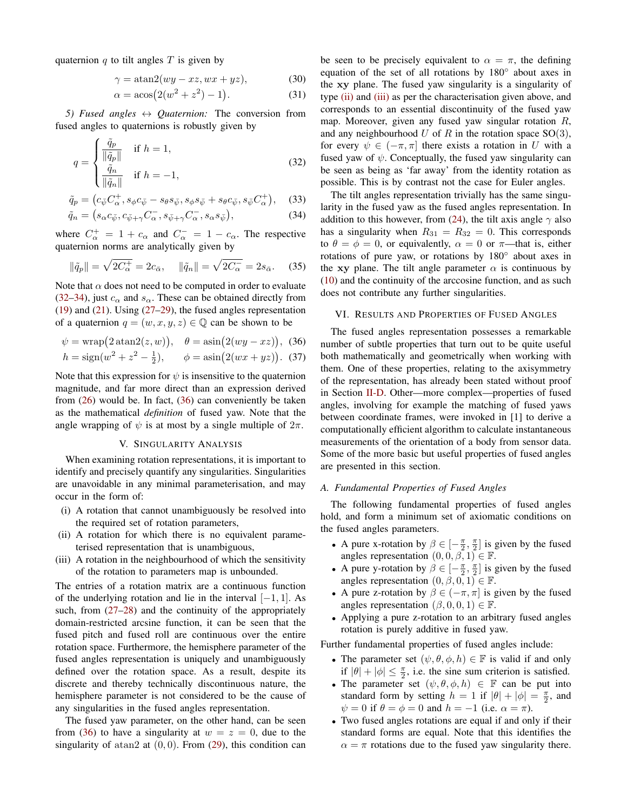quaternion  $q$  to tilt angles  $T$  is given by

$$
\gamma = \operatorname{atan2}(wy - xz, wx + yz),\tag{30}
$$

$$
\alpha = \arccos(2(w^2 + z^2) - 1). \tag{31}
$$

*5) Fused angles* ↔ *Quaternion:* The conversion from fused angles to quaternions is robustly given by

$$
q = \begin{cases} \frac{\tilde{q}_p}{\|\tilde{q}_p\|} & \text{if } h = 1, \\ \frac{\tilde{q}_n}{\|\tilde{q}_n\|} & \text{if } h = -1, \end{cases}
$$
(32)  

$$
\tilde{q}_n = (c_{\bar{n}} C^+_{\alpha}, s_{\beta} c_{\bar{n}} - s_{\beta} s_{\bar{n}}, s_{\beta} s_{\bar{n}} + s_{\beta} c_{\bar{n}}, s_{\bar{n}} C^+_{\alpha}),
$$
(33)

$$
\tilde{q}_p = (c_{\bar{\psi}} C_{\alpha}^+, s_{\phi} c_{\bar{\psi}} - s_{\theta} s_{\bar{\psi}}, s_{\phi} s_{\bar{\psi}} + s_{\theta} c_{\bar{\psi}}, s_{\bar{\psi}} C_{\alpha}^+), \quad (33)
$$
  
\n
$$
\tilde{q}_n = (s_{\alpha} c_{\bar{\psi}}, c_{\bar{\psi} + \gamma} C_{\alpha}^-, s_{\bar{\psi} + \gamma} C_{\alpha}^-, s_{\alpha} s_{\bar{\psi}}), \quad (34)
$$

where  $C_{\alpha}^{+} = 1 + c_{\alpha}$  and  $C_{\alpha}^{-} = 1 - c_{\alpha}$ . The respective quaternion norms are analytically given by

$$
\|\tilde{q}_p\| = \sqrt{2C_{\alpha}^+} = 2c_{\bar{\alpha}}, \quad \|\tilde{q}_n\| = \sqrt{2C_{\alpha}^-} = 2s_{\bar{\alpha}}.
$$
 (35)

Note that  $\alpha$  does not need to be computed in order to evaluate [\(32](#page-6-1)[–34\)](#page-6-2), just  $c_{\alpha}$  and  $s_{\alpha}$ . These can be obtained directly from [\(19\)](#page-4-4) and [\(21\)](#page-4-8). Using [\(27–](#page-5-2)[29\)](#page-5-3), the fused angles representation of a quaternion  $q = (w, x, y, z) \in \mathbb{Q}$  can be shown to be

$$
\psi = \text{wrap}\big(2\operatorname{atan2}(z, w)\big), \quad \theta = \operatorname{asin2}((wy - xz)), \tag{36}
$$

$$
h = sign(w^2 + z^2 - \frac{1}{2}), \qquad \phi = a\sin(2(wx + yz)).
$$
 (37)

Note that this expression for  $\psi$  is insensitive to the quaternion magnitude, and far more direct than an expression derived from  $(26)$  would be. In fact,  $(36)$  can conveniently be taken as the mathematical *definition* of fused yaw. Note that the angle wrapping of  $\psi$  is at most by a single multiple of  $2\pi$ .

### V. SINGULARITY ANALYSIS

When examining rotation representations, it is important to identify and precisely quantify any singularities. Singularities are unavoidable in any minimal parameterisation, and may occur in the form of:

- (i) A rotation that cannot unambiguously be resolved into the required set of rotation parameters,
- <span id="page-6-3"></span>(ii) A rotation for which there is no equivalent parameterised representation that is unambiguous,
- <span id="page-6-4"></span>(iii) A rotation in the neighbourhood of which the sensitivity of the rotation to parameters map is unbounded.

The entries of a rotation matrix are a continuous function of the underlying rotation and lie in the interval  $[-1, 1]$ . As such, from  $(27-28)$  $(27-28)$  and the continuity of the appropriately domain-restricted arcsine function, it can be seen that the fused pitch and fused roll are continuous over the entire rotation space. Furthermore, the hemisphere parameter of the fused angles representation is uniquely and unambiguously defined over the rotation space. As a result, despite its discrete and thereby technically discontinuous nature, the hemisphere parameter is not considered to be the cause of any singularities in the fused angles representation.

The fused yaw parameter, on the other hand, can be seen from [\(36\)](#page-6-0) to have a singularity at  $w = z = 0$ , due to the singularity of atan2 at  $(0, 0)$ . From  $(29)$ , this condition can be seen to be precisely equivalent to  $\alpha = \pi$ , the defining equation of the set of all rotations by 180◦ about axes in the xy plane. The fused yaw singularity is a singularity of type [\(ii\)](#page-6-3) and [\(iii\)](#page-6-4) as per the characterisation given above, and corresponds to an essential discontinuity of the fused yaw map. Moreover, given any fused yaw singular rotation  $R$ , and any neighbourhood U of R in the rotation space  $SO(3)$ , for every  $\psi \in (-\pi, \pi]$  there exists a rotation in U with a fused yaw of  $\psi$ . Conceptually, the fused yaw singularity can be seen as being as 'far away' from the identity rotation as possible. This is by contrast not the case for Euler angles.

<span id="page-6-2"></span><span id="page-6-1"></span>The tilt angles representation trivially has the same singularity in the fused yaw as the fused angles representation. In addition to this however, from [\(24\)](#page-5-5), the tilt axis angle  $\gamma$  also has a singularity when  $R_{31} = R_{32} = 0$ . This corresponds to  $\theta = \phi = 0$ , or equivalently,  $\alpha = 0$  or  $\pi$ —that is, either rotations of pure yaw, or rotations by 180◦ about axes in the xy plane. The tilt angle parameter  $\alpha$  is continuous by [\(10\)](#page-3-3) and the continuity of the arccosine function, and as such does not contribute any further singularities.

### VI. RESULTS AND PROPERTIES OF FUSED ANGLES

<span id="page-6-0"></span>The fused angles representation possesses a remarkable number of subtle properties that turn out to be quite useful both mathematically and geometrically when working with them. One of these properties, relating to the axisymmetry of the representation, has already been stated without proof in Section [II-D.](#page-1-0) Other—more complex—properties of fused angles, involving for example the matching of fused yaws between coordinate frames, were invoked in [1] to derive a computationally efficient algorithm to calculate instantaneous measurements of the orientation of a body from sensor data. Some of the more basic but useful properties of fused angles are presented in this section.

# *A. Fundamental Properties of Fused Angles*

The following fundamental properties of fused angles hold, and form a minimum set of axiomatic conditions on the fused angles parameters.

- A pure x-rotation by  $\beta \in [-\frac{\pi}{2}, \frac{\pi}{2}]$  is given by the fused angles representation  $(0, 0, \beta, 1) \in \mathbb{F}$ .
- A pure y-rotation by  $\beta \in \left[-\frac{\pi}{2}, \frac{\pi}{2}\right]$  is given by the fused angles representation  $(0, \beta, 0, 1) \in \mathbb{F}$ .
- A pure z-rotation by  $\beta \in (-\pi, \pi]$  is given by the fused angles representation  $(\beta, 0, 0, 1) \in \mathbb{F}$ .
- Applying a pure z-rotation to an arbitrary fused angles rotation is purely additive in fused yaw.

Further fundamental properties of fused angles include:

- The parameter set  $(\psi, \theta, \phi, h) \in \mathbb{F}$  is valid if and only if  $|\theta| + |\phi| \leq \frac{\pi}{2}$ , i.e. the sine sum criterion is satisfied.
- The parameter set  $(\psi, \theta, \phi, h) \in \mathbb{F}$  can be put into standard form by setting  $h = 1$  if  $|\theta| + |\phi| = \frac{\pi}{2}$ , and  $\psi = 0$  if  $\theta = \phi = 0$  and  $h = -1$  (i.e.  $\alpha = \pi$ ).
- Two fused angles rotations are equal if and only if their standard forms are equal. Note that this identifies the  $\alpha = \pi$  rotations due to the fused yaw singularity there.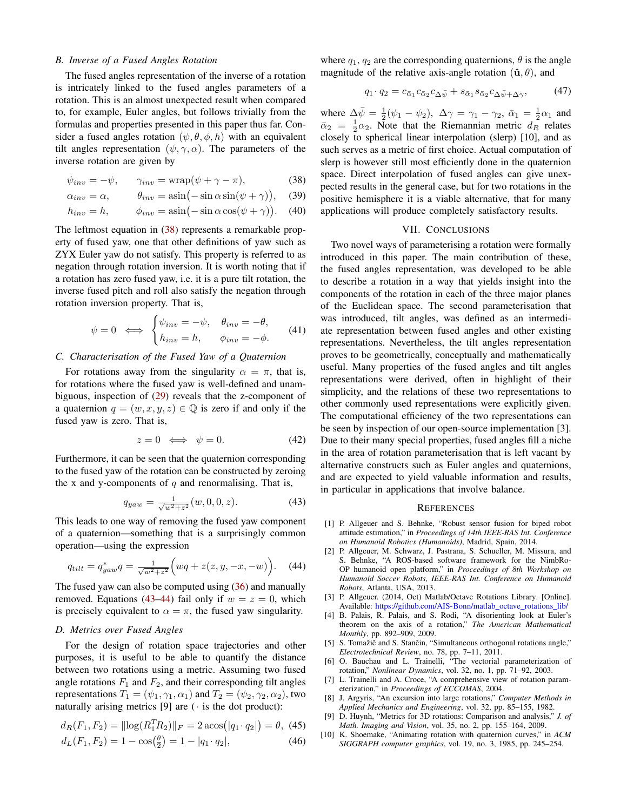#### *B. Inverse of a Fused Angles Rotation*

The fused angles representation of the inverse of a rotation is intricately linked to the fused angles parameters of a rotation. This is an almost unexpected result when compared to, for example, Euler angles, but follows trivially from the formulas and properties presented in this paper thus far. Consider a fused angles rotation  $(\psi, \theta, \phi, h)$  with an equivalent tilt angles representation  $(\psi, \gamma, \alpha)$ . The parameters of the inverse rotation are given by

$$
\psi_{inv} = -\psi, \qquad \gamma_{inv} = \text{wrap}(\psi + \gamma - \pi), \tag{38}
$$

$$
\alpha_{inv} = \alpha, \qquad \theta_{inv} = \operatorname{asin}(-\sin\alpha\sin(\psi+\gamma)), \quad (39)
$$

$$
h_{inv} = h, \qquad \phi_{inv} = \operatorname{asin}(-\sin\alpha\cos(\psi + \gamma)). \quad (40)
$$

The leftmost equation in [\(38\)](#page-7-0) represents a remarkable property of fused yaw, one that other definitions of yaw such as ZYX Euler yaw do not satisfy. This property is referred to as negation through rotation inversion. It is worth noting that if a rotation has zero fused yaw, i.e. it is a pure tilt rotation, the inverse fused pitch and roll also satisfy the negation through rotation inversion property. That is,

$$
\psi = 0 \iff \begin{cases} \psi_{inv} = -\psi, & \theta_{inv} = -\theta, \\ h_{inv} = h, & \phi_{inv} = -\phi. \end{cases}
$$
(41)

# *C. Characterisation of the Fused Yaw of a Quaternion*

For rotations away from the singularity  $\alpha = \pi$ , that is, for rotations where the fused yaw is well-defined and unambiguous, inspection of [\(29\)](#page-5-3) reveals that the z-component of a quaternion  $q = (w, x, y, z) \in \mathbb{Q}$  is zero if and only if the fused yaw is zero. That is,

<span id="page-7-3"></span>
$$
z = 0 \iff \psi = 0. \tag{42}
$$

Furthermore, it can be seen that the quaternion corresponding to the fused yaw of the rotation can be constructed by zeroing the x and y-components of  $q$  and renormalising. That is,

<span id="page-7-1"></span>
$$
q_{yaw} = \frac{1}{\sqrt{w^2 + z^2}} (w, 0, 0, z).
$$
 (43)

This leads to one way of removing the fused yaw component of a quaternion—something that is a surprisingly common operation—using the expression

<span id="page-7-2"></span>
$$
q_{tilt} = q_{yaw}^* q = \frac{1}{\sqrt{w^2 + z^2}} \Big( wq + z(z, y, -x, -w) \Big). \tag{44}
$$

The fused yaw can also be computed using [\(36\)](#page-6-0) and manually removed. Equations [\(43–](#page-7-1)[44\)](#page-7-2) fail only if  $w = z = 0$ , which is precisely equivalent to  $\alpha = \pi$ , the fused yaw singularity.

#### *D. Metrics over Fused Angles*

For the design of rotation space trajectories and other purposes, it is useful to be able to quantify the distance between two rotations using a metric. Assuming two fused angle rotations  $F_1$  and  $F_2$ , and their corresponding tilt angles representations  $T_1 = (\psi_1, \gamma_1, \alpha_1)$  and  $T_2 = (\psi_2, \gamma_2, \alpha_2)$ , two naturally arising metrics  $[9]$  are ( $\cdot$  is the dot product):

$$
d_R(F_1, F_2) = ||\log(R_1^T R_2)||_F = 2 \arccos(|q_1 \cdot q_2|) = \theta, \tag{45}
$$

$$
d_L(F_1, F_2) = 1 - \cos(\frac{\theta}{2}) = 1 - |q_1 \cdot q_2|,\tag{46}
$$

where  $q_1$ ,  $q_2$  are the corresponding quaternions,  $\theta$  is the angle magnitude of the relative axis-angle rotation  $(\hat{\mathbf{u}}, \theta)$ , and

$$
q_1 \cdot q_2 = c_{\bar{\alpha}_1} c_{\bar{\alpha}_2} c_{\Delta \bar{\psi}} + s_{\bar{\alpha}_1} s_{\bar{\alpha}_2} c_{\Delta \bar{\psi} + \Delta \gamma}, \tag{47}
$$

<span id="page-7-0"></span>where  $\Delta \bar{\psi} = \frac{1}{2}(\psi_1 - \psi_2)$ ,  $\Delta \gamma = \gamma_1 - \gamma_2$ ,  $\bar{\alpha}_1 = \frac{1}{2}\alpha_1$  and  $\bar{\alpha}_2 = \frac{1}{2} \alpha_2$ . Note that the Riemannian metric  $d_R$  relates closely to spherical linear interpolation (slerp) [10], and as such serves as a metric of first choice. Actual computation of slerp is however still most efficiently done in the quaternion space. Direct interpolation of fused angles can give unexpected results in the general case, but for two rotations in the positive hemisphere it is a viable alternative, that for many applications will produce completely satisfactory results.

# VII. CONCLUSIONS

Two novel ways of parameterising a rotation were formally introduced in this paper. The main contribution of these, the fused angles representation, was developed to be able to describe a rotation in a way that yields insight into the components of the rotation in each of the three major planes of the Euclidean space. The second parameterisation that was introduced, tilt angles, was defined as an intermediate representation between fused angles and other existing representations. Nevertheless, the tilt angles representation proves to be geometrically, conceptually and mathematically useful. Many properties of the fused angles and tilt angles representations were derived, often in highlight of their simplicity, and the relations of these two representations to other commonly used representations were explicitly given. The computational efficiency of the two representations can be seen by inspection of our open-source implementation [3]. Due to their many special properties, fused angles fill a niche in the area of rotation parameterisation that is left vacant by alternative constructs such as Euler angles and quaternions, and are expected to yield valuable information and results, in particular in applications that involve balance.

#### **REFERENCES**

- [1] P. Allgeuer and S. Behnke, "Robust sensor fusion for biped robot attitude estimation," in *Proceedings of 14th IEEE-RAS Int. Conference on Humanoid Robotics (Humanoids)*, Madrid, Spain, 2014.
- [2] P. Allgeuer, M. Schwarz, J. Pastrana, S. Schueller, M. Missura, and S. Behnke, "A ROS-based software framework for the NimbRo-OP humanoid open platform," in *Proceedings of 8th Workshop on Humanoid Soccer Robots, IEEE-RAS Int. Conference on Humanoid Robots*, Atlanta, USA, 2013.
- [3] P. Allgeuer. (2014, Oct) Matlab/Octave Rotations Library. [Online]. Available: [https://github.com/AIS-Bonn/matlab\\_octave\\_rotations\\_lib/](https://github.com/AIS-Bonn/matlab_octave_rotations_lib/)
- [4] B. Palais, R. Palais, and S. Rodi, "A disorienting look at Euler's theorem on the axis of a rotation," *The American Mathematical Monthly*, pp. 892–909, 2009.
- [5] S. Tomažič and S. Stančin, "Simultaneous orthogonal rotations angle," *Electrotechnical Review*, no. 78, pp. 7–11, 2011.
- [6] O. Bauchau and L. Trainelli, "The vectorial parameterization of rotation," *Nonlinear Dynamics*, vol. 32, no. 1, pp. 71–92, 2003.
- [7] L. Trainelli and A. Croce, "A comprehensive view of rotation parameterization," in *Proceedings of ECCOMAS*, 2004.
- [8] J. Argyris, "An excursion into large rotations," *Computer Methods in Applied Mechanics and Engineering*, vol. 32, pp. 85–155, 1982.
- [9] D. Huynh, "Metrics for 3D rotations: Comparison and analysis," *J. of Math. Imaging and Vision*, vol. 35, no. 2, pp. 155–164, 2009.
- [10] K. Shoemake, "Animating rotation with quaternion curves," in *ACM SIGGRAPH computer graphics*, vol. 19, no. 3, 1985, pp. 245–254.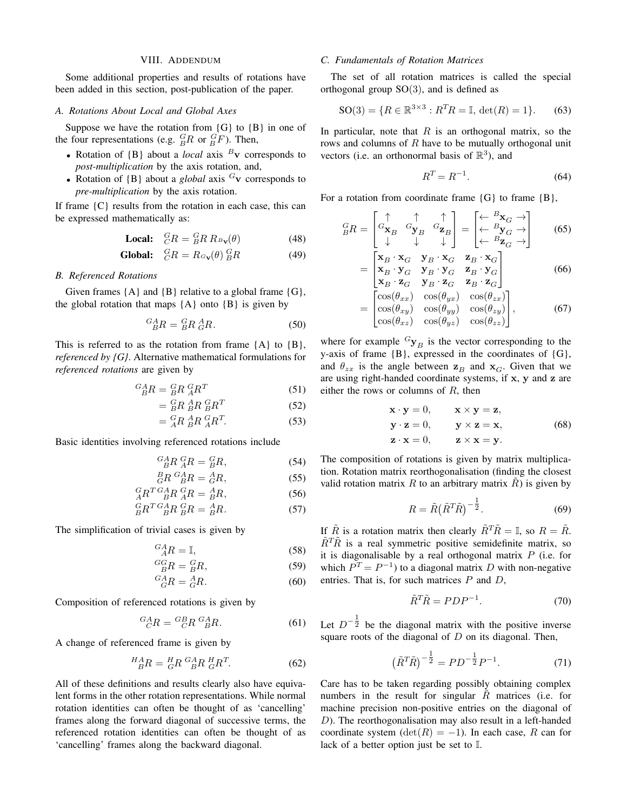#### VIII. ADDENDUM

Some additional properties and results of rotations have been added in this section, post-publication of the paper.

#### *A. Rotations About Local and Global Axes*

Suppose we have the rotation from  $\{G\}$  to  $\{B\}$  in one of the four representations (e.g.  ${}^{G}_{B}R$  or  ${}^{G}_{B}F$ ). Then,

- Rotation of  ${B}$  about a *local* axis  $B$ **v** corresponds to *post-multiplication* by the axis rotation, and,
- Rotation of  ${B}$  about a *global* axis <sup>G</sup>**v** corresponds to *pre-multiplication* by the axis rotation.

If frame {C} results from the rotation in each case, this can be expressed mathematically as:

$$
\text{Local:} \quad {}_{C}^{G}R = {}_{B}^{G}R R_{B}{}_{\mathbf{v}}(\theta) \tag{48}
$$

**Global:** 
$$
{}_{C}^{G}R = R \sigma_{\mathbf{v}}(\theta) {}_{B}^{G}R
$$
 (49)

#### *B. Referenced Rotations*

Given frames  ${A}$  and  ${B}$  relative to a global frame  ${G}$ , the global rotation that maps  ${A}$  onto  ${B}$  is given by

$$
{}^{G}_{\quad}R = {}^{G}_{B}R \, {}^{A}_{G}R. \tag{50}
$$

This is referred to as the rotation from frame  ${A}$  to  ${B}$ , *referenced by {G}*. Alternative mathematical formulations for *referenced rotations* are given by

$$
{}^{G}_{\ \ B}R = {}^{G}_{\ B}R\ {}^{G}_{\ A}R^T \tag{51}
$$

$$
= {}_{B}^{G}R {}_{B}^{A}R {}_{B}^{G}R^{T} \qquad (52)
$$

$$
= {}_{A}^{G}R {}_{B}^{A}R {}_{A}^{G}R^{T}.
$$
 (53)

Basic identities involving referenced rotations include

$$
{}^{G}_{\quad}R\, {}^{G}_{A}R = {}^{G}_{B}R,\tag{54}
$$

$$
{}_{G}^{B}R\ {}_{B}^{G}A_{R} = {}_{G}^{A}R,\t\t(55)
$$

$$
{}_{A}^{G}R^{T} {}_{B}^{G}R R R = {}_{B}^{A}R, \qquad (56)
$$

$$
{}_{B}^{G}R^{T} {}_{B}^{G}R R {}_{B}^{G}R = {}_{B}^{A}R. \tag{57}
$$

The simplification of trivial cases is given by

$$
{}^{G}_{{\stackrel{}{A}}R} = \mathbb{I},\tag{58}
$$

$$
{}^{G}_{\ \ B}R = {}^{G}_{B}R,\tag{59}
$$

$$
{}_{G}^{G}R = {}_{G}^{A}R. \tag{60}
$$

Composition of referenced rotations is given by

$$
{}^{G}_{C}R = {}^{G}_{C}R {}^{G}_{B}R. \tag{61}
$$

A change of referenced frame is given by

$$
{}^{H}_{\quad}R = {}^{H}_{G}R {}^{G}_{\quad}R {}^{H}_{\quad}R T. \tag{62}
$$

All of these definitions and results clearly also have equivalent forms in the other rotation representations. While normal rotation identities can often be thought of as 'cancelling' frames along the forward diagonal of successive terms, the referenced rotation identities can often be thought of as 'cancelling' frames along the backward diagonal.

# *C. Fundamentals of Rotation Matrices*

The set of all rotation matrices is called the special orthogonal group  $SO(3)$ , and is defined as

$$
SO(3) = \{ R \in \mathbb{R}^{3 \times 3} : R^T R = \mathbb{I}, \, \det(R) = 1 \}. \tag{63}
$$

In particular, note that  $R$  is an orthogonal matrix, so the rows and columns of  $R$  have to be mutually orthogonal unit vectors (i.e. an orthonormal basis of  $\mathbb{R}^3$ ), and

$$
R^T = R^{-1}.\tag{64}
$$

For a rotation from coordinate frame  $\{G\}$  to frame  $\{B\}$ ,

$$
{}_{B}^{G}R = \begin{bmatrix} \uparrow & \uparrow & \uparrow \\ G_{\mathbf{X}_{B}} & G_{\mathbf{y}_{B}} & G_{\mathbf{z}_{B}} \\ \downarrow & \downarrow & \downarrow \end{bmatrix} = \begin{bmatrix} \leftarrow {}^{B}\mathbf{x}_{G} \rightarrow \\ \leftarrow {}^{B}\mathbf{y}_{G} \rightarrow \\ \leftarrow {}^{B}\mathbf{z}_{G} \rightarrow \end{bmatrix}
$$
(65)  

$$
\begin{bmatrix} \mathbf{x}_{B} \cdot \mathbf{x}_{G} & \mathbf{y}_{B} \cdot \mathbf{x}_{G} & \mathbf{z}_{B} \cdot \mathbf{x}_{G} \end{bmatrix}
$$

$$
= \begin{bmatrix} \mathbf{x}_B \cdot \mathbf{y}_G & \mathbf{y}_B \cdot \mathbf{y}_G & \mathbf{z}_B \cdot \mathbf{y}_G \\ \mathbf{x}_B \cdot \mathbf{z}_G & \mathbf{y}_B \cdot \mathbf{z}_G & \mathbf{z}_B \cdot \mathbf{z}_G \end{bmatrix}
$$
(66)

$$
= \begin{bmatrix} \cos(\theta_{xx}) & \cos(\theta_{yx}) & \cos(\theta_{zx})\\ \cos(\theta_{xy}) & \cos(\theta_{yy}) & \cos(\theta_{zy})\\ \cos(\theta_{xz}) & \cos(\theta_{yz}) & \cos(\theta_{zz}) \end{bmatrix},
$$
(67)

where for example  ${}^{G}y_B$  is the vector corresponding to the y-axis of frame {B}, expressed in the coordinates of {G}, and  $\theta_{zx}$  is the angle between  $z_B$  and  $x_C$ . Given that we are using right-handed coordinate systems, if x, y and z are either the rows or columns of  $R$ , then

$$
\mathbf{x} \cdot \mathbf{y} = 0, \quad \mathbf{x} \times \mathbf{y} = \mathbf{z},
$$
  
\n
$$
\mathbf{y} \cdot \mathbf{z} = 0, \quad \mathbf{y} \times \mathbf{z} = \mathbf{x},
$$
  
\n
$$
\mathbf{z} \cdot \mathbf{x} = 0, \quad \mathbf{z} \times \mathbf{x} = \mathbf{y}.
$$
  
\n(68)

<span id="page-8-1"></span>The composition of rotations is given by matrix multiplication. Rotation matrix reorthogonalisation (finding the closest valid rotation matrix R to an arbitrary matrix  $\tilde{R}$ ) is given by

$$
R = \tilde{R} \left( \tilde{R}^T \tilde{R} \right)^{-\frac{1}{2}}.
$$
\n(69)

<span id="page-8-0"></span>If  $\tilde{R}$  is a rotation matrix then clearly  $\tilde{R}^T \tilde{R} = \mathbb{I}$ , so  $R = \tilde{R}$ .  $\tilde{R}^T\tilde{R}$  is a real symmetric positive semidefinite matrix, so it is diagonalisable by a real orthogonal matrix  $P$  (i.e. for which  $P^{T} = P^{-1}$ ) to a diagonal matrix D with non-negative entries. That is, for such matrices  $P$  and  $D$ ,

$$
\tilde{R}^T \tilde{R} = P D P^{-1}.
$$
\n(70)

Let  $D^{-\frac{1}{2}}$  be the diagonal matrix with the positive inverse square roots of the diagonal of  $D$  on its diagonal. Then,

$$
\left(\tilde{R}^T \tilde{R}\right)^{-\frac{1}{2}} = PD^{-\frac{1}{2}} P^{-1}.
$$
 (71)

Care has to be taken regarding possibly obtaining complex numbers in the result for singular  $R$  matrices (i.e. for machine precision non-positive entries on the diagonal of D). The reorthogonalisation may also result in a left-handed coordinate system  $(\det(R) = -1)$ . In each case, R can for lack of a better option just be set to  $\mathbb{I}$ .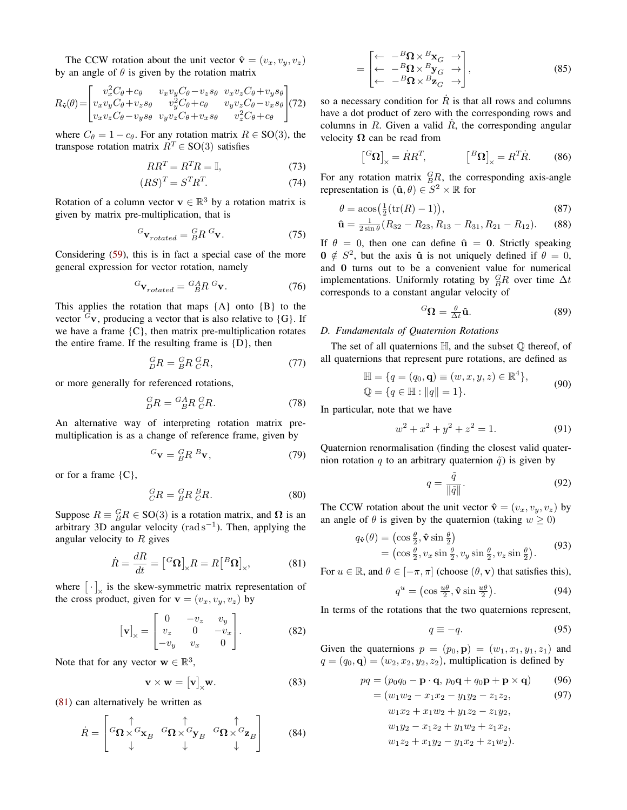The CCW rotation about the unit vector  $\hat{\mathbf{v}} = (v_x, v_y, v_z)$ by an angle of  $\theta$  is given by the rotation matrix

$$
R_{\hat{\mathbf{v}}}(\theta) = \begin{bmatrix} v_x^2 C_{\theta} + c_{\theta} & v_x v_y C_{\theta} - v_z s_{\theta} & v_x v_z C_{\theta} + v_y s_{\theta} \\ v_x v_y C_{\theta} + v_z s_{\theta} & v_y^2 C_{\theta} + c_{\theta} & v_y v_z C_{\theta} - v_x s_{\theta} \\ v_x v_z C_{\theta} - v_y s_{\theta} & v_y v_z C_{\theta} + v_x s_{\theta} & v_z^2 C_{\theta} + c_{\theta} \end{bmatrix} (72)
$$

where  $C_{\theta} = 1 - c_{\theta}$ . For any rotation matrix  $R \in SO(3)$ , the transpose rotation matrix  $R^T \in SO(3)$  satisfies

$$
RR^T = R^T R = \mathbb{I},\tag{73}
$$

$$
(RS)^T = S^T R^T. \tag{74}
$$

Rotation of a column vector  $\mathbf{v} \in \mathbb{R}^3$  by a rotation matrix is given by matrix pre-multiplication, that is

<span id="page-9-1"></span>
$$
{}^{G}\mathbf{v}_{rotated} = {}^{G}_{B}R {}^{G}\mathbf{v}.
$$
 (75)

Considering [\(59\)](#page-8-0), this is in fact a special case of the more general expression for vector rotation, namely

$$
{}^{G}\mathbf{v}_{rotated} = {}^{G}_{B}R {}^{G}\mathbf{v}.
$$
 (76)

This applies the rotation that maps {A} onto {B} to the vector  ${}^{G}$ v, producing a vector that is also relative to {G}. If we have a frame  $\{C\}$ , then matrix pre-multiplication rotates the entire frame. If the resulting frame is  $\{D\}$ , then

$$
{}_{D}^{G}R = {}_{B}^{G}R\, {}_{C}^{G}R,\tag{77}
$$

or more generally for referenced rotations,

$$
{}_{D}^{G}R = {}_{B}^{G}R R {}_{C}^{G}R. \tag{78}
$$

An alternative way of interpreting rotation matrix premultiplication is as a change of reference frame, given by

$$
{}^{G}\mathbf{v} = {}^{G}_{B}R {}^{B}\mathbf{v}, \qquad (79)
$$

or for a frame  $\{C\},\$ 

<span id="page-9-2"></span>
$$
{}_{C}^{G}R = {}_{B}^{G}R {}_{C}^{B}R. \tag{80}
$$

Suppose  $R \equiv {}_{B}^{G}R \in SO(3)$  is a rotation matrix, and  $\Omega$  is an arbitrary 3D angular velocity (rad  $s^{-1}$ ). Then, applying the angular velocity to  $R$  gives

<span id="page-9-0"></span>
$$
\dot{R} = \frac{dR}{dt} = \left[ {}^{G}\Omega \right]_{\times} R = R \left[ {}^{B}\Omega \right]_{\times},\tag{81}
$$

where  $\left[\cdot\right]_{\times}$  is the skew-symmetric matrix representation of the cross product, given for  $\mathbf{v} = (v_x, v_y, v_z)$  by

$$
\begin{bmatrix} \mathbf{v} \end{bmatrix}_{x} = \begin{bmatrix} 0 & -v_z & v_y \\ v_z & 0 & -v_x \\ -v_y & v_x & 0 \end{bmatrix} . \tag{82}
$$

Note that for any vector  $\mathbf{w} \in \mathbb{R}^3$ ,

$$
\mathbf{v} \times \mathbf{w} = [\mathbf{v}]_{\times} \mathbf{w}.
$$
 (83)

[\(81\)](#page-9-0) can alternatively be written as

$$
\dot{R} = \begin{bmatrix} G_{\mathbf{\Omega}} \times G_{\mathbf{X}_{B}} & G_{\mathbf{\Omega}} \times G_{\mathbf{y}_{B}} & G_{\mathbf{\Omega}} \times G_{\mathbf{z}_{B}} \\ \downarrow & \downarrow & \downarrow \end{bmatrix}
$$
 (84)

$$
= \begin{bmatrix} \leftarrow & -^B \Omega \times^B \mathbf{x}_G & \rightarrow \\ \leftarrow & -^B \Omega \times^B \mathbf{y}_G & \rightarrow \\ \leftarrow & -^B \Omega \times^B \mathbf{z}_G & \rightarrow \end{bmatrix}, \tag{85}
$$

so a necessary condition for  $\dot{R}$  is that all rows and columns have a dot product of zero with the corresponding rows and columns in R. Given a valid  $\dot{R}$ , the corresponding angular velocity  $\Omega$  can be read from

$$
\left[ \,^G \mathbf{\Omega} \right]_{\times} = \dot{R} R^T, \qquad \left[ \,^B \mathbf{\Omega} \right]_{\times} = R^T \dot{R}. \qquad (86)
$$

For any rotation matrix  ${}_{B}^{G}R$ , the corresponding axis-angle representation is  $(\hat{\mathbf{u}}, \theta) \in S^2 \times \mathbb{R}$  for

$$
\theta = \arccos\left(\frac{1}{2}(\operatorname{tr}(R) - 1)\right),\tag{87}
$$

$$
\hat{\mathbf{u}} = \frac{1}{2\sin\theta} (R_{32} - R_{23}, R_{13} - R_{31}, R_{21} - R_{12}).
$$
 (88)

If  $\theta = 0$ , then one can define  $\hat{u} = 0$ . Strictly speaking  $0 \notin S^2$ , but the axis  $\hat{u}$  is not uniquely defined if  $\theta = 0$ , and 0 turns out to be a convenient value for numerical implementations. Uniformly rotating by  ${}_{B}^{G}R$  over time  $\Delta t$ corresponds to a constant angular velocity of

$$
{}^{G}\Omega = \frac{\theta}{\Delta t}\hat{\mathbf{u}}.\tag{89}
$$

#### *D. Fundamentals of Quaternion Rotations*

The set of all quaternions  $H$ , and the subset  $\mathbb Q$  thereof, of all quaternions that represent pure rotations, are defined as

$$
\mathbb{H} = \{ q = (q_0, \mathbf{q}) \equiv (w, x, y, z) \in \mathbb{R}^4 \},
$$
  
\n
$$
\mathbb{Q} = \{ q \in \mathbb{H} : ||q|| = 1 \}.
$$
\n(90)

In particular, note that we have

$$
w^2 + x^2 + y^2 + z^2 = 1.
$$
 (91)

Quaternion renormalisation (finding the closest valid quaternion rotation q to an arbitrary quaternion  $\tilde{q}$ ) is given by

$$
q = \frac{\tilde{q}}{\|\tilde{q}\|}.
$$
\n(92)

The CCW rotation about the unit vector  $\hat{\mathbf{v}} = (v_x, v_y, v_z)$  by an angle of  $\theta$  is given by the quaternion (taking  $w \ge 0$ )

$$
q_{\hat{\mathbf{v}}}(\theta) = \left(\cos\frac{\theta}{2}, \hat{\mathbf{v}}\sin\frac{\theta}{2}\right) = \left(\cos\frac{\theta}{2}, v_x\sin\frac{\theta}{2}, v_y\sin\frac{\theta}{2}, v_z\sin\frac{\theta}{2}\right).
$$
 (93)

For  $u \in \mathbb{R}$ , and  $\theta \in [-\pi, \pi]$  (choose  $(\theta, \mathbf{v})$  that satisfies this),

<span id="page-9-3"></span>
$$
q^{u} = \left(\cos\frac{u\theta}{2}, \hat{\mathbf{v}}\sin\frac{u\theta}{2}\right). \tag{94}
$$

In terms of the rotations that the two quaternions represent,

$$
q \equiv -q.\tag{95}
$$

Given the quaternions  $p = (p_0, \mathbf{p}) = (w_1, x_1, y_1, z_1)$  and  $q = (q_0, \mathbf{q}) = (w_2, x_2, y_2, z_2)$ , multiplication is defined by

$$
pq = (p_0q_0 - \mathbf{p} \cdot \mathbf{q}, \, p_0\mathbf{q} + q_0\mathbf{p} + \mathbf{p} \times \mathbf{q}) \tag{96}
$$

$$
= (w_1w_2 - x_1x_2 - y_1y_2 - z_1z_2, \t\t(97)
$$
  
\n
$$
w_1x_2 + x_1w_2 + y_1z_2 - z_1y_2,
$$
  
\n
$$
w_1y_2 - x_1z_2 + y_1w_2 + z_1x_2,
$$
  
\n
$$
w_1z_2 + x_1y_2 - y_1x_2 + z_1w_2).
$$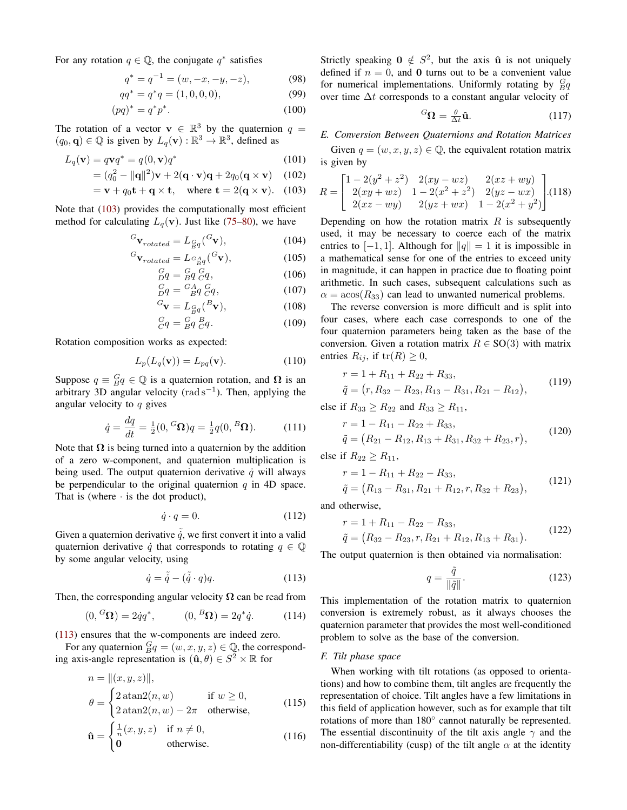For any rotation  $q \in \mathbb{Q}$ , the conjugate  $q^*$  satisfies

$$
q^* = q^{-1} = (w, -x, -y, -z), \tag{98}
$$

$$
qq^* = q^*q = (1, 0, 0, 0), \tag{99}
$$

$$
(pq)^* = q^*p^*.
$$
\n<sup>(100)</sup>

The rotation of a vector  $\mathbf{v} \in \mathbb{R}^3$  by the quaternion  $q =$  $(q_0, \mathbf{q}) \in \mathbb{Q}$  is given by  $L_q(\mathbf{v}) : \mathbb{R}^3 \to \mathbb{R}^3$ , defined as

$$
L_q(\mathbf{v}) = q\mathbf{v}q^* = q(0, \mathbf{v})q^*
$$
\n(101)

$$
= (q_0^2 - ||\mathbf{q}||^2)\mathbf{v} + 2(\mathbf{q} \cdot \mathbf{v})\mathbf{q} + 2q_0(\mathbf{q} \times \mathbf{v}) \quad (102)
$$

$$
= \mathbf{v} + q_0 \mathbf{t} + \mathbf{q} \times \mathbf{t}, \quad \text{where } \mathbf{t} = 2(\mathbf{q} \times \mathbf{v}). \quad (103)
$$

Note that [\(103\)](#page-10-0) provides the computationally most efficient method for calculating  $L_q(\mathbf{v})$ . Just like [\(75](#page-9-1)[–80\)](#page-9-2), we have

$$
{}^{G}\mathbf{v}_{rotated} = L_{gq}({}^{G}\mathbf{v}),\tag{104}
$$

$$
{}^{G}\mathbf{v}_{rotated} = L_{{}^{G}A}_{Bq}({}^{G}\mathbf{v}),\tag{105}
$$

$$
{}_{D}^{G}q = {}_{B}^{G}q \, {}_{C}^{G}q,\tag{106}
$$

$$
{}_{D}^{G}q = {}_{B}^{G}q {}_{C}^{G}q, \qquad (107)
$$

$$
{}^{G}\mathbf{v} = L_{\stackrel{G}{B}q}({}^{B}\mathbf{v}),\tag{108}
$$

$$
{}_{C}^{G}q = {}_{B}^{G}q \, {}_{C}^{B}q. \tag{109}
$$

Rotation composition works as expected:

$$
L_p(L_q(\mathbf{v})) = L_{pq}(\mathbf{v}).
$$
\n(110)

Suppose  $q \equiv \frac{G}{B}q \in \mathbb{Q}$  is a quaternion rotation, and  $\Omega$  is an arbitrary 3D angular velocity (rad  $s^{-1}$ ). Then, applying the angular velocity to  $q$  gives

$$
\dot{q} = \frac{dq}{dt} = \frac{1}{2}(0, \,^G \Omega)q = \frac{1}{2}q(0, \,^B \Omega). \tag{111}
$$

Note that  $\Omega$  is being turned into a quaternion by the addition of a zero w-component, and quaternion multiplication is being used. The output quaternion derivative  $\dot{q}$  will always be perpendicular to the original quaternion  $q$  in 4D space. That is (where  $\cdot$  is the dot product),

$$
\dot{q} \cdot q = 0. \tag{112}
$$

Given a quaternion derivative  $\tilde{q}$ , we first convert it into a valid quaternion derivative  $\dot{q}$  that corresponds to rotating  $q \in \mathbb{Q}$ by some angular velocity, using

<span id="page-10-1"></span>
$$
\dot{q} = \tilde{\dot{q}} - (\tilde{\dot{q}} \cdot q)q. \tag{113}
$$

Then, the corresponding angular velocity  $\Omega$  can be read from

$$
(0, {}^{G}\Omega) = 2\dot{q}q^*, \qquad (0, {}^{B}\Omega) = 2q^*\dot{q}. \qquad (114)
$$

[\(113\)](#page-10-1) ensures that the w-components are indeed zero.

For any quaternion  $g = (w, x, y, z) \in \mathbb{Q}$ , the corresponding axis-angle representation is  $(\hat{\mathbf{u}}, \theta) \in S^2 \times \mathbb{R}$  for

$$
n = ||(x, y, z)||,
$$
  
\n
$$
\theta = \begin{cases} 2 \operatorname{atan2}(n, w) & \text{if } w \ge 0, \\ 2 \operatorname{atan2}(n, w) - 2\pi & \text{otherwise,} \end{cases}
$$
(115)  
\n
$$
\hat{\mathbf{u}} = \begin{cases} \frac{1}{n}(x, y, z) & \text{if } n \ne 0, \\ 0 & \text{otherwise.} \end{cases}
$$
(116)

Strictly speaking  $0 \notin S^2$ , but the axis  $\hat{u}$  is not uniquely defined if  $n = 0$ , and 0 turns out to be a convenient value for numerical implementations. Uniformly rotating by  $\frac{G}{B}q$ over time  $\Delta t$  corresponds to a constant angular velocity of

$$
{}^{G}\Omega = \frac{\theta}{\Delta t}\hat{\mathbf{u}}.\tag{117}
$$

#### *E. Conversion Between Quaternions and Rotation Matrices*

Given  $q = (w, x, y, z) \in \mathbb{Q}$ , the equivalent rotation matrix is given by

<span id="page-10-0"></span>
$$
R = \begin{bmatrix} 1 - 2(y^2 + z^2) & 2(xy - wz) & 2(xz + wy) \\ 2(xy + wz) & 1 - 2(x^2 + z^2) & 2(yz - wx) \\ 2(xz - wy) & 2(yz + wx) & 1 - 2(x^2 + y^2) \end{bmatrix} . (118)
$$

Depending on how the rotation matrix  $R$  is subsequently used, it may be necessary to coerce each of the matrix entries to  $[-1, 1]$ . Although for  $||q|| = 1$  it is impossible in a mathematical sense for one of the entries to exceed unity in magnitude, it can happen in practice due to floating point arithmetic. In such cases, subsequent calculations such as  $\alpha = \arccos(R_{33})$  can lead to unwanted numerical problems.

The reverse conversion is more difficult and is split into four cases, where each case corresponds to one of the four quaternion parameters being taken as the base of the conversion. Given a rotation matrix  $R \in SO(3)$  with matrix entries  $R_{ij}$ , if tr( $R$ )  $\geq$  0,

$$
r = 1 + R_{11} + R_{22} + R_{33},
$$
  
\n
$$
\tilde{q} = (r, R_{32} - R_{23}, R_{13} - R_{31}, R_{21} - R_{12}),
$$
\n(119)

else if  $R_{33} \ge R_{22}$  and  $R_{33} \ge R_{11}$ ,

$$
r = 1 - R_{11} - R_{22} + R_{33},
$$
  
\n
$$
\tilde{q} = (R_{21} - R_{12}, R_{13} + R_{31}, R_{32} + R_{23}, r),
$$
\n(120)

else if  $R_{22} \geq R_{11}$ ,

$$
r = 1 - R_{11} + R_{22} - R_{33},
$$
  
\n
$$
\tilde{q} = (R_{13} - R_{31}, R_{21} + R_{12}, r, R_{32} + R_{23}),
$$
\n(121)

and otherwise,

$$
r = 1 + R_{11} - R_{22} - R_{33},
$$
  
\n
$$
\tilde{q} = (R_{32} - R_{23}, r, R_{21} + R_{12}, R_{13} + R_{31}).
$$
\n(122)

The output quaternion is then obtained via normalisation:

$$
q = \frac{\tilde{q}}{\|\tilde{q}\|}.\tag{123}
$$

This implementation of the rotation matrix to quaternion conversion is extremely robust, as it always chooses the quaternion parameter that provides the most well-conditioned problem to solve as the base of the conversion.

# *F. Tilt phase space*

When working with tilt rotations (as opposed to orientations) and how to combine them, tilt angles are frequently the representation of choice. Tilt angles have a few limitations in this field of application however, such as for example that tilt rotations of more than 180° cannot naturally be represented. The essential discontinuity of the tilt axis angle  $\gamma$  and the non-differentiability (cusp) of the tilt angle  $\alpha$  at the identity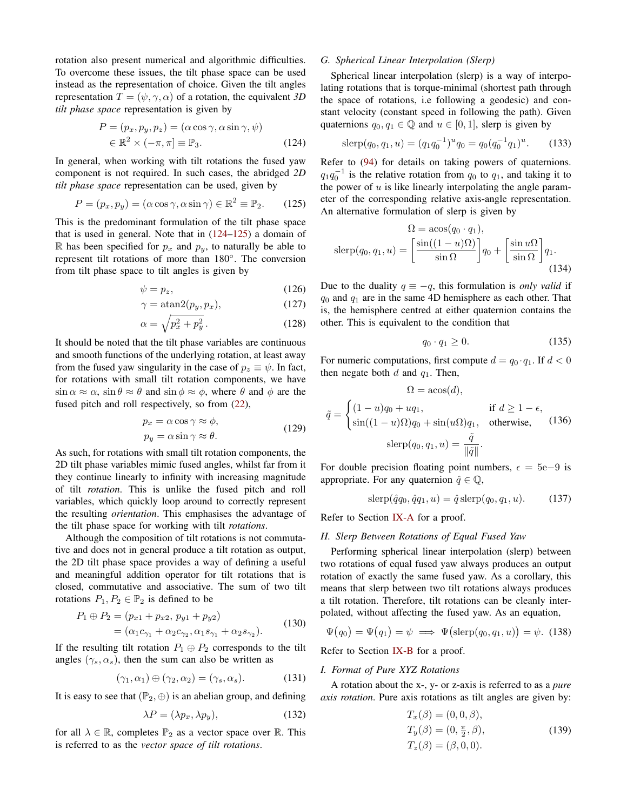rotation also present numerical and algorithmic difficulties. To overcome these issues, the tilt phase space can be used instead as the representation of choice. Given the tilt angles representation  $T = (\psi, \gamma, \alpha)$  of a rotation, the equivalent 3D *tilt phase space* representation is given by

$$
P = (p_x, p_y, p_z) = (\alpha \cos \gamma, \alpha \sin \gamma, \psi)
$$
  

$$
\in \mathbb{R}^2 \times (-\pi, \pi] \equiv \mathbb{P}_3.
$$
 (124)

In general, when working with tilt rotations the fused yaw component is not required. In such cases, the abridged *2D tilt phase space* representation can be used, given by

<span id="page-11-1"></span>
$$
P = (p_x, p_y) = (\alpha \cos \gamma, \alpha \sin \gamma) \in \mathbb{R}^2 \equiv \mathbb{P}_2.
$$
 (125)

This is the predominant formulation of the tilt phase space that is used in general. Note that in [\(124](#page-11-0)[–125\)](#page-11-1) a domain of R has been specified for  $p_x$  and  $p_y$ , to naturally be able to represent tilt rotations of more than 180◦ . The conversion from tilt phase space to tilt angles is given by

$$
\psi = p_z,\tag{126}
$$

$$
\gamma = \operatorname{atan2}(p_y, p_x),\tag{127}
$$

$$
\alpha = \sqrt{p_x^2 + p_y^2} \,. \tag{128}
$$

It should be noted that the tilt phase variables are continuous and smooth functions of the underlying rotation, at least away from the fused yaw singularity in the case of  $p_z \equiv \psi$ . In fact, for rotations with small tilt rotation components, we have  $\sin \alpha \approx \alpha$ ,  $\sin \theta \approx \theta$  and  $\sin \phi \approx \phi$ , where  $\theta$  and  $\phi$  are the fused pitch and roll respectively, so from [\(22\)](#page-4-9),

$$
p_x = \alpha \cos \gamma \approx \phi,
$$
  
\n
$$
p_y = \alpha \sin \gamma \approx \theta.
$$
 (129)

As such, for rotations with small tilt rotation components, the 2D tilt phase variables mimic fused angles, whilst far from it they continue linearly to infinity with increasing magnitude of tilt *rotation*. This is unlike the fused pitch and roll variables, which quickly loop around to correctly represent the resulting *orientation*. This emphasises the advantage of the tilt phase space for working with tilt *rotations*.

Although the composition of tilt rotations is not commutative and does not in general produce a tilt rotation as output, the 2D tilt phase space provides a way of defining a useful and meaningful addition operator for tilt rotations that is closed, commutative and associative. The sum of two tilt rotations  $P_1, P_2 \in \mathbb{P}_2$  is defined to be

$$
P_1 \oplus P_2 = (p_{x1} + p_{x2}, p_{y1} + p_{y2})
$$
  
=  $(\alpha_1 c_{\gamma_1} + \alpha_2 c_{\gamma_2}, \alpha_1 s_{\gamma_1} + \alpha_2 s_{\gamma_2}).$  (130)

If the resulting tilt rotation  $P_1 \oplus P_2$  corresponds to the tilt angles  $(\gamma_s, \alpha_s)$ , then the sum can also be written as

$$
(\gamma_1, \alpha_1) \oplus (\gamma_2, \alpha_2) = (\gamma_s, \alpha_s). \tag{131}
$$

It is easy to see that  $(\mathbb{P}_2, \oplus)$  is an abelian group, and defining

$$
\lambda P = (\lambda p_x, \lambda p_y), \tag{132}
$$

for all  $\lambda \in \mathbb{R}$ , completes  $\mathbb{P}_2$  as a vector space over  $\mathbb{R}$ . This is referred to as the *vector space of tilt rotations*.

# <span id="page-11-2"></span>*G. Spherical Linear Interpolation (Slerp)*

Spherical linear interpolation (slerp) is a way of interpolating rotations that is torque-minimal (shortest path through the space of rotations, i.e following a geodesic) and constant velocity (constant speed in following the path). Given quaternions  $q_0, q_1 \in \mathbb{Q}$  and  $u \in [0, 1]$ , slerp is given by

<span id="page-11-3"></span>
$$
slerp(q_0, q_1, u) = (q_1 q_0^{-1})^u q_0 = q_0 (q_0^{-1} q_1)^u.
$$
 (133)

<span id="page-11-0"></span>Refer to [\(94\)](#page-9-3) for details on taking powers of quaternions.  $q_1q_0^{-1}$  is the relative rotation from  $q_0$  to  $q_1$ , and taking it to the power of  $u$  is like linearly interpolating the angle parameter of the corresponding relative axis-angle representation. An alternative formulation of slerp is given by

$$
\Omega = \operatorname{acos}(q_0 \cdot q_1),
$$
  

$$
\operatorname{slerp}(q_0, q_1, u) = \left[\frac{\sin((1 - u)\Omega)}{\sin \Omega}\right] q_0 + \left[\frac{\sin u\Omega}{\sin \Omega}\right] q_1.
$$
 (134)

Due to the duality  $q \equiv -q$ , this formulation is *only valid* if  $q_0$  and  $q_1$  are in the same 4D hemisphere as each other. That is, the hemisphere centred at either quaternion contains the other. This is equivalent to the condition that

<span id="page-11-6"></span>
$$
q_0 \cdot q_1 \ge 0. \tag{135}
$$

For numeric computations, first compute  $d = q_0 \cdot q_1$ . If  $d < 0$ then negate both d and  $q_1$ . Then,

$$
\Omega = \text{acos}(d),
$$
  

$$
\tilde{q} = \begin{cases} (1-u)q_0 + uq_1, & \text{if } d \ge 1 - \epsilon, \\ \sin((1-u)\Omega)q_0 + \sin(u\Omega)q_1, & \text{otherwise,} \end{cases}
$$
(136)  

$$
\text{slerp}(q_0, q_1, u) = \frac{\tilde{q}}{\|\tilde{q}\|}.
$$

For double precision floating point numbers,  $\epsilon = 5e-9$  is appropriate. For any quaternion  $\hat{q} \in \mathbb{Q}$ ,

<span id="page-11-5"></span>
$$
slerp(\hat{q}q_0, \hat{q}q_1, u) = \hat{q} slerp(q_0, q_1, u). \tag{137}
$$

Refer to Section [IX-A](#page-17-0) for a proof.

#### <span id="page-11-4"></span>*H. Slerp Between Rotations of Equal Fused Yaw*

Performing spherical linear interpolation (slerp) between two rotations of equal fused yaw always produces an output rotation of exactly the same fused yaw. As a corollary, this means that slerp between two tilt rotations always produces a tilt rotation. Therefore, tilt rotations can be cleanly interpolated, without affecting the fused yaw. As an equation,

$$
\Psi(q_0) = \Psi(q_1) = \psi \implies \Psi\big(\text{slerp}(q_0, q_1, u)\big) = \psi. \tag{138}
$$

Refer to Section [IX-B](#page-18-0) for a proof.

#### *I. Format of Pure XYZ Rotations*

A rotation about the x-, y- or z-axis is referred to as a *pure axis rotation*. Pure axis rotations as tilt angles are given by:

$$
T_x(\beta) = (0, 0, \beta), T_y(\beta) = (0, \frac{\pi}{2}, \beta), T_z(\beta) = (\beta, 0, 0).
$$
 (139)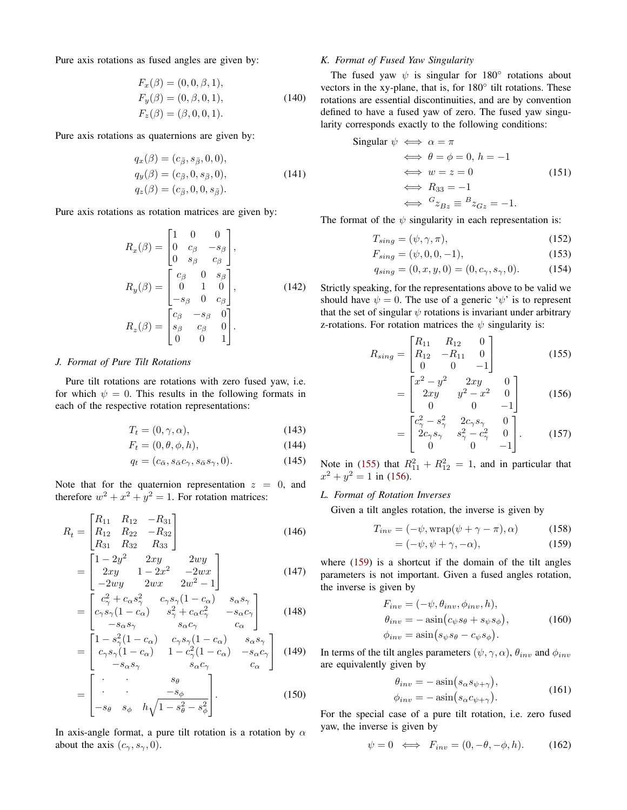Pure axis rotations as fused angles are given by:

$$
F_x(\beta) = (0, 0, \beta, 1),
$$
  
\n
$$
F_y(\beta) = (0, \beta, 0, 1),
$$
  
\n
$$
F_z(\beta) = (\beta, 0, 0, 1).
$$
  
\n(140)

Pure axis rotations as quaternions are given by:

$$
q_x(\beta) = (c_{\bar{\beta}}, s_{\bar{\beta}}, 0, 0),
$$
  
\n
$$
q_y(\beta) = (c_{\bar{\beta}}, 0, s_{\bar{\beta}}, 0),
$$
  
\n
$$
q_z(\beta) = (c_{\bar{\beta}}, 0, 0, s_{\bar{\beta}}).
$$
\n(141)

Pure axis rotations as rotation matrices are given by:

$$
R_x(\beta) = \begin{bmatrix} 1 & 0 & 0 \\ 0 & c_{\beta} & -s_{\beta} \\ 0 & s_{\beta} & c_{\beta} \end{bmatrix},
$$
  
\n
$$
R_y(\beta) = \begin{bmatrix} c_{\beta} & 0 & s_{\beta} \\ 0 & 1 & 0 \\ -s_{\beta} & 0 & c_{\beta} \end{bmatrix},
$$
  
\n
$$
R_z(\beta) = \begin{bmatrix} c_{\beta} & -s_{\beta} & 0 \\ s_{\beta} & c_{\beta} & 0 \\ 0 & 0 & 1 \end{bmatrix}.
$$
 (142)

#### *J. Format of Pure Tilt Rotations*

Pure tilt rotations are rotations with zero fused yaw, i.e. for which  $\psi = 0$ . This results in the following formats in each of the respective rotation representations:

$$
T_t = (0, \gamma, \alpha), \tag{143}
$$

$$
F_t = (0, \theta, \phi, h), \tag{144}
$$

$$
q_t = (c_{\bar{\alpha}}, s_{\bar{\alpha}}c_{\gamma}, s_{\bar{\alpha}}s_{\gamma}, 0). \tag{145}
$$

Note that for the quaternion representation  $z = 0$ , and therefore  $w^2 + x^2 + y^2 = 1$ . For rotation matrices:

$$
R_{t} = \begin{bmatrix} R_{11} & R_{12} & -R_{31} \\ R_{12} & R_{22} & -R_{32} \\ R_{31} & R_{32} & R_{33} \end{bmatrix}
$$
 (146)

$$
= \begin{bmatrix} 1 - 2y^2 & 2xy & 2wy \\ 2xy & 1 - 2x^2 & -2wx \\ -2wy & 2wx & 2w^2 - 1 \end{bmatrix}
$$
 (147)

$$
= \begin{bmatrix} c_{\gamma}^2 + c_{\alpha}s_{\gamma}^2 & c_{\gamma}s_{\gamma}(1-c_{\alpha}) & s_{\alpha}s_{\gamma} \\ c_{\gamma}s_{\gamma}(1-c_{\alpha}) & s_{\gamma}^2 + c_{\alpha}c_{\gamma}^2 & -s_{\alpha}c_{\gamma} \\ -s_{\alpha}s_{\gamma} & s_{\alpha}c_{\gamma} & c_{\alpha} \end{bmatrix}
$$
 (148)

$$
= \begin{bmatrix} 1 - s_{\gamma}^2 (1 - c_{\alpha}) & c_{\gamma} s_{\gamma} (1 - c_{\alpha}) & s_{\alpha} s_{\gamma} \\ c_{\gamma} s_{\gamma} (1 - c_{\alpha}) & 1 - c_{\gamma}^2 (1 - c_{\alpha}) & -s_{\alpha} c_{\gamma} \\ -s_{\alpha} s_{\gamma} & s_{\alpha} c_{\gamma} & c_{\alpha} \end{bmatrix}
$$
(149)

$$
= \begin{bmatrix} \cdot & \cdot & s_{\theta} \\ \cdot & \cdot & -s_{\phi} \\ -s_{\theta} & s_{\phi} & h\sqrt{1 - s_{\theta}^2 - s_{\phi}^2} \end{bmatrix} . \tag{150}
$$

In axis-angle format, a pure tilt rotation is a rotation by  $\alpha$ about the axis  $(c_{\gamma}, s_{\gamma}, 0)$ .

#### *K. Format of Fused Yaw Singularity*

The fused yaw  $\psi$  is singular for 180 $\degree$  rotations about vectors in the xy-plane, that is, for 180<sup>°</sup> tilt rotations. These rotations are essential discontinuities, and are by convention defined to have a fused yaw of zero. The fused yaw singularity corresponds exactly to the following conditions:

Singular 
$$
\psi \iff \alpha = \pi
$$
  
\n $\iff \theta = \phi = 0, h = -1$   
\n $\iff w = z = 0$  (151)  
\n $\iff R_{33} = -1$   
\n $\iff G_{Z_{Bz}} = B_{Z_{Gz}} = -1.$ 

The format of the  $\psi$  singularity in each representation is:

$$
T_{sing} = (\psi, \gamma, \pi), \tag{152}
$$

$$
F_{sing} = (\psi, 0, 0, -1), \tag{153}
$$

$$
q_{sing} = (0, x, y, 0) = (0, c_{\gamma}, s_{\gamma}, 0). \tag{154}
$$

<span id="page-12-3"></span>Strictly speaking, for the representations above to be valid we should have  $\psi = 0$ . The use of a generic ' $\psi$ ' is to represent that the set of singular  $\psi$  rotations is invariant under arbitrary z-rotations. For rotation matrices the  $\psi$  singularity is:

$$
R_{sing} = \begin{bmatrix} R_{11} & R_{12} & 0 \\ R_{12} & -R_{11} & 0 \\ 0 & 0 & -1 \end{bmatrix} \tag{155}
$$

<span id="page-12-1"></span><span id="page-12-0"></span>
$$
= \begin{bmatrix} x^2 - y^2 & 2xy & 0\\ 2xy & y^2 - x^2 & 0\\ 0 & 0 & -1 \end{bmatrix}
$$
 (156)

$$
= \begin{bmatrix} c_{\gamma}^2 - s_{\gamma}^2 & 2c_{\gamma}s_{\gamma} & 0\\ 2c_{\gamma}s_{\gamma} & s_{\gamma}^2 - c_{\gamma}^2 & 0\\ 0 & 0 & -1 \end{bmatrix} .
$$
 (157)

Note in [\(155\)](#page-12-0) that  $R_{11}^2 + R_{12}^2 = 1$ , and in particular that  $x^2 + y^2 = 1$  in [\(156\)](#page-12-1).

### *L. Format of Rotation Inverses*

Given a tilt angles rotation, the inverse is given by

<span id="page-12-2"></span>
$$
T_{inv} = (-\psi, \text{wrap}(\psi + \gamma - \pi), \alpha)
$$
 (158)  
= (-\psi, \psi + \gamma, -\alpha), (159)

where [\(159\)](#page-12-2) is a shortcut if the domain of the tilt angles parameters is not important. Given a fused angles rotation, the inverse is given by

$$
F_{inv} = (-\psi, \theta_{inv}, \phi_{inv}, h),
$$
  
\n
$$
\theta_{inv} = -\operatorname{asin}(c_{\psi} s_{\theta} + s_{\psi} s_{\phi}),
$$
  
\n
$$
\phi_{inv} = \operatorname{asin}(s_{\psi} s_{\theta} - c_{\psi} s_{\phi}).
$$
\n(160)

In terms of the tilt angles parameters  $(\psi, \gamma, \alpha)$ ,  $\theta_{inv}$  and  $\phi_{inv}$ are equivalently given by

$$
\theta_{inv} = -\operatorname{asin}(s_{\alpha}s_{\psi+\gamma}),
$$
  
\n
$$
\phi_{inv} = -\operatorname{asin}(s_{\alpha}c_{\psi+\gamma}).
$$
\n(161)

For the special case of a pure tilt rotation, i.e. zero fused yaw, the inverse is given by

$$
\psi = 0 \iff F_{inv} = (0, -\theta, -\phi, h). \tag{162}
$$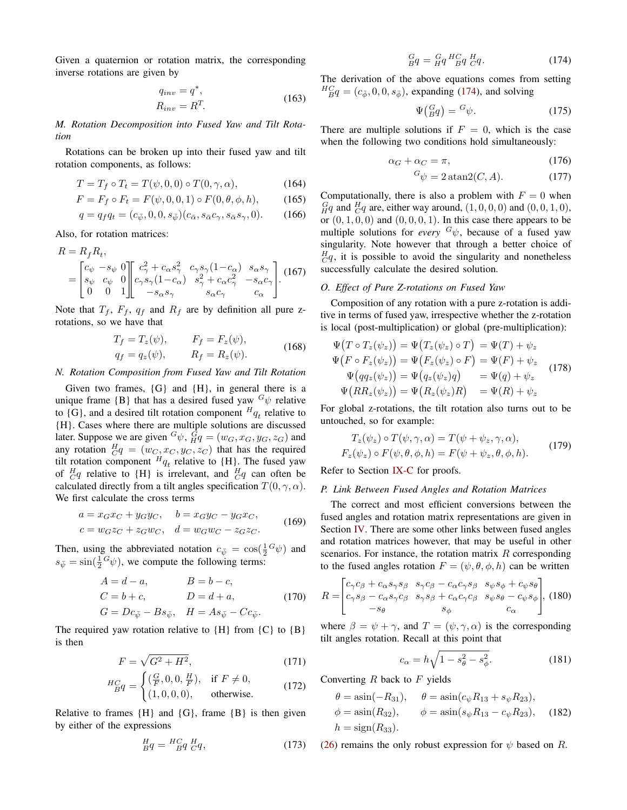Given a quaternion or rotation matrix, the corresponding inverse rotations are given by

$$
q_{inv} = q^*,
$$
  
\n
$$
R_{inv} = R^T.
$$
\n(163)

<span id="page-13-2"></span>*M. Rotation Decomposition into Fused Yaw and Tilt Rotation*

Rotations can be broken up into their fused yaw and tilt rotation components, as follows:

$$
T = T_f \circ T_t = T(\psi, 0, 0) \circ T(0, \gamma, \alpha), \tag{164}
$$

$$
F = F_f \circ F_t = F(\psi, 0, 0, 1) \circ F(0, \theta, \phi, h), \quad (165)
$$

$$
q = q_f q_t = (c_{\bar{\psi}}, 0, 0, s_{\bar{\psi}})(c_{\bar{\alpha}}, s_{\bar{\alpha}}c_{\gamma}, s_{\bar{\alpha}}s_{\gamma}, 0).
$$
 (166)

Also, for rotation matrices:

$$
R = R_f R_t,
$$
  
= 
$$
\begin{bmatrix} c_{\psi} & -s_{\psi} & 0 \\ s_{\psi} & c_{\psi} & 0 \\ 0 & 0 & 1 \end{bmatrix} \begin{bmatrix} c_{\gamma}^2 + c_{\alpha}s_{\gamma}^2 & c_{\gamma}s_{\gamma}(1-c_{\alpha}) & s_{\alpha}s_{\gamma} \\ c_{\gamma}s_{\gamma}(1-c_{\alpha}) & s_{\gamma}^2 + c_{\alpha}c_{\gamma}^2 & -s_{\alpha}c_{\gamma} \\ -s_{\alpha}s_{\gamma} & s_{\alpha}c_{\gamma} & c_{\alpha} \end{bmatrix}.
$$
(167)

Note that  $T_f$ ,  $F_f$ ,  $q_f$  and  $R_f$  are by definition all pure zrotations, so we have that

$$
T_f = T_z(\psi), \qquad F_f = F_z(\psi),
$$
  
\n
$$
q_f = q_z(\psi), \qquad R_f = R_z(\psi).
$$
\n(168)

#### *N. Rotation Composition from Fused Yaw and Tilt Rotation*

Given two frames,  ${G}$  and  ${H}$ , in general there is a unique frame {B} that has a desired fused yaw  ${}^G\psi$  relative to {G}, and a desired tilt rotation component  ${}^Hq_t$  relative to {H}. Cases where there are multiple solutions are discussed later. Suppose we are given  ${}^G\psi$ ,  ${}^G_H q = (w_G, x_G, y_G, z_G)$  and any rotation  ${}_{C}^{H}q = (w_{C_x}x_C, y_C, z_C)$  that has the required tilt rotation component  ${}^H q_t$  relative to {H}. The fused yaw of  $\frac{H}{C}q$  relative to  $\{H\}$  is irrelevant, and  $\frac{H}{C}q$  can often be calculated directly from a tilt angles specification  $T(0, \gamma, \alpha)$ . We first calculate the cross terms

$$
a = x_G x_C + y_G y_C, \quad b = x_G y_C - y_G x_C,
$$
  

$$
c = w_G z_C + z_G w_C, \quad d = w_G w_C - z_G z_C.
$$
 (169)

Then, using the abbreviated notation  $c_{\bar{\psi}} = \cos(\frac{1}{2}G\psi)$  and  $s_{\bar{\psi}} = \sin(\frac{1}{2}G\psi)$ , we compute the following terms:

$$
A = d - a,
$$
  
\n
$$
B = b - c,
$$
  
\n
$$
C = b + c,
$$
  
\n
$$
D = d + a,
$$
  
\n
$$
G = Dc_{\bar{\psi}} - Bs_{\bar{\psi}},
$$
  
\n
$$
H = As_{\bar{\psi}} - Cc_{\bar{\psi}}.
$$
\n(170)

The required yaw rotation relative to  ${H}$  from  ${C}$  to  ${B}$ is then

$$
F = \sqrt{G^2 + H^2},\tag{171}
$$

$$
{}^{H}{}_{B}^{C}q = \begin{cases} (\frac{G}{F}, 0, 0, \frac{H}{F}), & \text{if } F \neq 0, \\ (1, 0, 0, 0), & \text{otherwise.} \end{cases}
$$
(172)

Relative to frames  ${H}$  and  ${G}$ , frame  ${B}$  is then given by either of the expressions

$$
{}_{B}^{H}q = {}_{B}^{H}Cq, \qquad (173)
$$

<span id="page-13-0"></span>
$$
{}_{B}^{G}q = {}_{H}^{G}q {}_{B}^{H}q {}_{C}^{H}q. \qquad (174)
$$

The derivation of the above equations comes from setting  ${}_{B}^{HC}q = (c_{\bar{\phi}}, 0, 0, s_{\bar{\phi}}),$  expanding [\(174\)](#page-13-0), and solving

$$
\Psi\big(\,^G_B q\big) = \,^G \psi. \tag{175}
$$

There are multiple solutions if  $F = 0$ , which is the case when the following two conditions hold simultaneously:

$$
\alpha_G + \alpha_C = \pi,\tag{176}
$$

$$
{}^{G}\psi = 2 \operatorname{atan2}(C, A). \tag{177}
$$

Computationally, there is also a problem with  $F = 0$  when  $_{H}^{G}q$  and  $_{C}^{H}q$  are, either way around,  $(1,0,0,0)$  and  $(0,0,1,0)$ , or  $(0, 1, 0, 0)$  and  $(0, 0, 0, 1)$ . In this case there appears to be multiple solutions for *every*  ${}^G\psi$ , because of a fused yaw singularity. Note however that through a better choice of  ${}_{C}^{H}q$ , it is possible to avoid the singularity and nonetheless successfully calculate the desired solution.

### <span id="page-13-3"></span>*O. Effect of Pure Z-rotations on Fused Yaw*

Composition of any rotation with a pure z-rotation is additive in terms of fused yaw, irrespective whether the z-rotation is local (post-multiplication) or global (pre-multiplication):

<span id="page-13-1"></span>
$$
\Psi(T \circ T_z(\psi_z)) = \Psi(T_z(\psi_z) \circ T) = \Psi(T) + \psi_z
$$
  
\n
$$
\Psi(F \circ F_z(\psi_z)) = \Psi(F_z(\psi_z) \circ F) = \Psi(F) + \psi_z
$$
  
\n
$$
\Psi(qq_z(\psi_z)) = \Psi(q_z(\psi_z)q) = \Psi(q) + \psi_z
$$
  
\n
$$
\Psi(RR_z(\psi_z)) = \Psi(R_z(\psi_z)R) = \Psi(R) + \psi_z
$$
\n(178)

For global z-rotations, the tilt rotation also turns out to be untouched, so for example:

<span id="page-13-4"></span>
$$
T_z(\psi_z) \circ T(\psi, \gamma, \alpha) = T(\psi + \psi_z, \gamma, \alpha),
$$
  
\n
$$
F_z(\psi_z) \circ F(\psi, \theta, \phi, h) = F(\psi + \psi_z, \theta, \phi, h).
$$
 (179)

Refer to Section [IX-C](#page-18-1) for proofs.

#### *P. Link Between Fused Angles and Rotation Matrices*

The correct and most efficient conversions between the fused angles and rotation matrix representations are given in Section [IV.](#page-4-0) There are some other links between fused angles and rotation matrices however, that may be useful in other scenarios. For instance, the rotation matrix  $R$  corresponding to the fused angles rotation  $F = (\psi, \theta, \phi, h)$  can be written

$$
R = \begin{bmatrix} c_{\gamma}c_{\beta} + c_{\alpha}s_{\gamma}s_{\beta} & s_{\gamma}c_{\beta} - c_{\alpha}c_{\gamma}s_{\beta} & s_{\psi}s_{\phi} + c_{\psi}s_{\theta} \\ c_{\gamma}s_{\beta} - c_{\alpha}s_{\gamma}c_{\beta} & s_{\gamma}s_{\beta} + c_{\alpha}c_{\gamma}c_{\beta} & s_{\psi}s_{\theta} - c_{\psi}s_{\phi} \\ -s_{\theta} & s_{\phi} & c_{\alpha} \end{bmatrix}, (180)
$$

where  $\beta = \psi + \gamma$ , and  $T = (\psi, \gamma, \alpha)$  is the corresponding tilt angles rotation. Recall at this point that

$$
c_{\alpha} = h\sqrt{1 - s_{\theta}^2 - s_{\phi}^2}.\tag{181}
$$

Converting  $R$  back to  $F$  yields

$$
\theta = \operatorname{asin}(-R_{31}), \quad \theta = \operatorname{asin}(c_{\psi}R_{13} + s_{\psi}R_{23}),
$$
  
\n
$$
\phi = \operatorname{asin}(R_{32}), \quad \phi = \operatorname{asin}(s_{\psi}R_{13} - c_{\psi}R_{23}), \quad (182)
$$
  
\n
$$
h = \operatorname{sign}(R_{33}).
$$

[\(26\)](#page-5-1) remains the only robust expression for  $\psi$  based on R.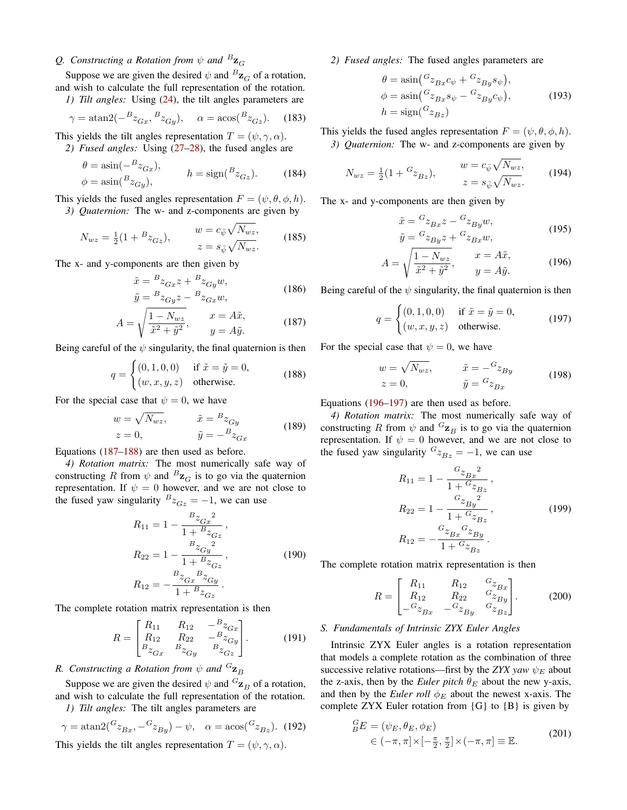# Q. Constructing a Rotation from  $\psi$  and  ${}^B\mathbf{z}_G$

Suppose we are given the desired  $\psi$  and  ${}^B\mathbf{z}_G$  of a rotation, and wish to calculate the full representation of the rotation.

*1) Tilt angles:* Using [\(24\)](#page-5-5), the tilt angles parameters are

$$
\gamma = \text{atan2}(-{}^{B}z_{Gx}, {}^{B}z_{Gy}), \quad \alpha = \text{acos}({}^{B}z_{Gz}).
$$
 (183)

This yields the tilt angles representation  $T = (\psi, \gamma, \alpha)$ .

*2) Fused angles:* Using [\(27](#page-5-2)[–28\)](#page-5-4), the fused angles are

$$
\theta = \operatorname{asin}(-{}^{B}z_{Gx}),
$$
  
\n
$$
\phi = \operatorname{asin}({}^{B}z_{Gy}),
$$
  
\n
$$
h = \operatorname{sign}({}^{B}z_{Gz}).
$$
\n(184)

This yields the fused angles representation  $F = (\psi, \theta, \phi, h)$ .

*3) Quaternion:* The w- and z-components are given by

$$
N_{wz} = \frac{1}{2}(1 + \frac{B_{Z_{Gz}}}{2}), \qquad \frac{w = c_{\bar{\psi}}\sqrt{N_{wz}}}{z = s_{\bar{\psi}}\sqrt{N_{wz}}}.
$$
 (185)

The x- and y-components are then given by

$$
\begin{aligned}\n\tilde{x} &= \,^B z_{Gx} z + \,^B z_{Gy} w, \\
\tilde{y} &= \,^B z_{Gy} z - \,^B z_{Gx} w,\n\end{aligned}\n\tag{186}
$$

$$
A = \sqrt{\frac{1 - N_{wz}}{\tilde{x}^2 + \tilde{y}^2}}, \qquad \begin{array}{c} x = A\tilde{x}, \\ y = A\tilde{y}. \end{array} \tag{187}
$$

Being careful of the  $\psi$  singularity, the final quaternion is then

<span id="page-14-1"></span>
$$
q = \begin{cases} (0, 1, 0, 0) & \text{if } \tilde{x} = \tilde{y} = 0, \\ (w, x, y, z) & \text{otherwise.} \end{cases}
$$
 (188)

For the special case that  $\psi = 0$ , we have

$$
w = \sqrt{N_{wz}}, \qquad \tilde{x} = {^Bz}_{Gy}
$$
  
\n
$$
z = 0, \qquad \tilde{y} = -{^Bz}_{Gx}
$$
 (189)

Equations [\(187–](#page-14-0)[188\)](#page-14-1) are then used as before.

*4) Rotation matrix:* The most numerically safe way of constructing R from  $\psi$  and  ${}^B\mathbf{z}_G$  is to go via the quaternion representation. If  $\psi = 0$  however, and we are not close to the fused yaw singularity  ${}^Bz_{Gz} = -1$ , we can use

$$
R_{11} = 1 - \frac{B_{Z_{Gx}}^{2}}{1 + B_{Z_{Gz}}^{2}},
$$
  
\n
$$
R_{22} = 1 - \frac{B_{Z_{Gy}}^{2}}{1 + B_{Z_{Gz}}^{2}},
$$
  
\n
$$
R_{12} = -\frac{B_{Z_{Gx}}^{2} B_{Z_{Gy}}^{2}}{1 + B_{Z_{Gz}}}.
$$
\n(190)

The complete rotation matrix representation is then

$$
R = \begin{bmatrix} R_{11} & R_{12} & -{}^{B}z_{Gx} \\ R_{12} & R_{22} & -{}^{B}z_{Gy} \\ {}^{B}z_{Gx} & {}^{B}z_{Gy} & {}^{B}z_{Gz} \end{bmatrix} . \tag{191}
$$

# *R. Constructing a Rotation from*  $\psi$  *and*  ${}^{G}_{\mathbf{Z}}{}_{B}$

Suppose we are given the desired  $\psi$  and  ${}^{G}z_{B}$  of a rotation, and wish to calculate the full representation of the rotation.

*1) Tilt angles:* The tilt angles parameters are

$$
\gamma = \text{atan2}(\frac{G_{Z_{Bx}}, -G_{Z_{By}}}{\sigma}) - \psi, \quad \alpha = \text{acos}(\frac{G_{Z_{Bz}}}{\sigma}). \tag{192}
$$
  
This yields the tilt angles representation  $T = (\psi, \gamma, \alpha)$ .

*2) Fused angles:* The fused angles parameters are

$$
\theta = \operatorname{asin}(\frac{G_{Z_{Bx}C_{\psi}} + G_{Z_{By}s_{\psi}}}{G_{Z_{Bx}S_{\psi}} - G_{Z_{By}C_{\psi}}},
$$
\n
$$
\phi = \operatorname{asin}(\frac{G_{Z_{Bx}S_{\psi}} - G_{Z_{By}C_{\psi}}}{G_{Z_{Bz}}},
$$
\n(193)

This yields the fused angles representation  $F = (\psi, \theta, \phi, h)$ . *3) Quaternion:* The w- and z-components are given by

$$
N_{wz} = \frac{1}{2}(1 + \frac{G_{z}}{Bz}), \qquad \frac{w = c_{\bar{\psi}}\sqrt{N_{wz}}}{z = s_{\bar{\psi}}\sqrt{N_{wz}}}.
$$
 (194)

The x- and y-components are then given by

<span id="page-14-2"></span>
$$
\tilde{x} = \frac{G_{Z_{Bx}Z} - G_{Z_{By}w}}{\tilde{y} = \frac{G_{Z_{By}Z} + G_{Z_{Bx}w}}{x},\tag{195}
$$

$$
A = \sqrt{\frac{1 - N_{wz}}{\tilde{x}^2 + \tilde{y}^2}}, \qquad \begin{array}{c} x = A\tilde{x}, \\ y = A\tilde{y}. \end{array} \tag{196}
$$

<span id="page-14-0"></span>Being careful of the  $\psi$  singularity, the final quaternion is then

<span id="page-14-3"></span>
$$
q = \begin{cases} (0,1,0,0) & \text{if } \tilde{x} = \tilde{y} = 0, \\ (w,x,y,z) & \text{otherwise.} \end{cases}
$$
 (197)

For the special case that  $\psi = 0$ , we have

$$
w = \sqrt{N_{wz}}, \qquad \tilde{x} = -{}^{G}z_{By}
$$
  
\n
$$
z = 0, \qquad \tilde{y} = {}^{G}z_{Bx}
$$
 (198)

Equations [\(196–](#page-14-2)[197\)](#page-14-3) are then used as before.

*4) Rotation matrix:* The most numerically safe way of constructing R from  $\psi$  and  ${}^{G}z_B$  is to go via the quaternion representation. If  $\psi = 0$  however, and we are not close to the fused yaw singularity  $G_{Z_{Bz}} = -1$ , we can use

$$
R_{11} = 1 - \frac{G_{Z_{Bx}}^{2}}{1 + G_{Z_{Bz}}^{2}},
$$
  
\n
$$
R_{22} = 1 - \frac{G_{Z_{By}}^{2}}{1 + G_{Z_{Bz}}^{2}},
$$
  
\n
$$
R_{12} = -\frac{G_{Z_{Bx}}G_{Z_{By}}}{1 + G_{Z_{Bz}}}.
$$
\n(199)

The complete rotation matrix representation is then

$$
R = \begin{bmatrix} R_{11} & R_{12} & G_{Z_{Bx}} \\ R_{12} & R_{22} & G_{Z_{By}} \\ -G_{Z_{Bx}} & -G_{Z_{By}} & G_{Z_{Bz}} \end{bmatrix}.
$$
 (200)

#### *S. Fundamentals of Intrinsic ZYX Euler Angles*

Intrinsic ZYX Euler angles is a rotation representation that models a complete rotation as the combination of three successive relative rotations—first by the *ZYX yaw*  $\psi_E$  about the z-axis, then by the *Euler pitch*  $\theta_E$  about the new y-axis, and then by the *Euler roll*  $\phi_E$  about the newest x-axis. The complete ZYX Euler rotation from  $\{G\}$  to  $\{B\}$  is given by

$$
{}_{B}^{G}E = (\psi_{E}, \theta_{E}, \phi_{E})
$$
  
\n
$$
\in (-\pi, \pi] \times [-\frac{\pi}{2}, \frac{\pi}{2}] \times (-\pi, \pi] \equiv \mathbb{E}. \tag{201}
$$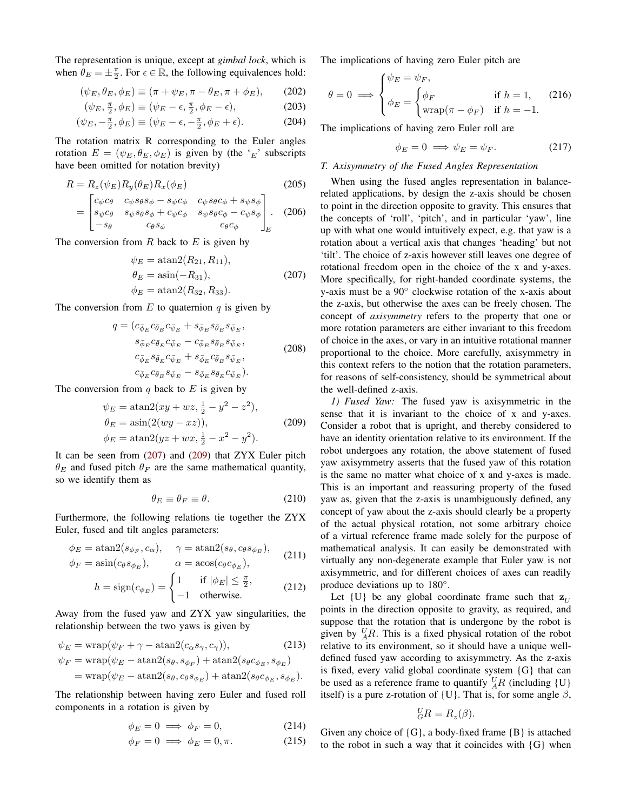The representation is unique, except at *gimbal lock*, which is when  $\hat{\theta}_E = \pm \frac{\pi}{2}$ . For  $\epsilon \in \mathbb{R}$ , the following equivalences hold:

$$
(\psi_E, \theta_E, \phi_E) \equiv (\pi + \psi_E, \pi - \theta_E, \pi + \phi_E), \qquad (202)
$$

$$
(\psi_E, \frac{\pi}{2}, \phi_E) \equiv (\psi_E - \epsilon, \frac{\pi}{2}, \phi_E - \epsilon), \tag{203}
$$

$$
(\psi_E, -\frac{\pi}{2}, \phi_E) \equiv (\psi_E - \epsilon, -\frac{\pi}{2}, \phi_E + \epsilon). \tag{204}
$$

The rotation matrix R corresponding to the Euler angles rotation  $E = (\psi_E, \theta_E, \phi_E)$  is given by (the '<sub>E</sub>' subscripts have been omitted for notation brevity)

$$
R = R_z(\psi_E) R_y(\theta_E) R_x(\phi_E) \tag{205}
$$

$$
= \begin{bmatrix} c_{\psi}c_{\theta} & c_{\psi}s_{\theta}s_{\phi} - s_{\psi}c_{\phi} & c_{\psi}s_{\theta}c_{\phi} + s_{\psi}s_{\phi} \\ s_{\psi}c_{\theta} & s_{\psi}s_{\theta}s_{\phi} + c_{\psi}c_{\phi} & s_{\psi}s_{\theta}c_{\phi} - c_{\psi}s_{\phi} \\ -s_{\theta} & c_{\theta}s_{\phi} & c_{\theta}c_{\phi} \end{bmatrix}_{E}.
$$
 (206)

<span id="page-15-0"></span>The conversion from  $R$  back to  $E$  is given by

$$
\psi_E = \operatorname{atan2}(R_{21}, R_{11}), \n\theta_E = \operatorname{asin}(-R_{31}), \n\phi_E = \operatorname{atan2}(R_{32}, R_{33}).
$$
\n(207)

The conversion from  $E$  to quaternion  $q$  is given by

$$
q = (c_{\bar{\phi}_E} c_{\bar{\theta}_E} c_{\bar{\psi}_E} + s_{\bar{\phi}_E} s_{\bar{\theta}_E} s_{\bar{\psi}_E},
$$
  
\n
$$
s_{\bar{\phi}_E} c_{\bar{\theta}_E} c_{\bar{\psi}_E} - c_{\bar{\phi}_E} s_{\bar{\theta}_E} s_{\bar{\psi}_E},
$$
  
\n
$$
c_{\bar{\phi}_E} s_{\bar{\theta}_E} c_{\bar{\psi}_E} + s_{\bar{\phi}_E} c_{\bar{\theta}_E} s_{\bar{\psi}_E},
$$
  
\n
$$
c_{\bar{\phi}_E} c_{\bar{\theta}_E} s_{\bar{\psi}_E} - s_{\bar{\phi}_E} s_{\bar{\theta}_E} c_{\bar{\psi}_E}).
$$
  
\n(208)

<span id="page-15-1"></span>The conversion from  $q$  back to  $E$  is given by

$$
\psi_E = \operatorname{atan2}(xy + wz, \frac{1}{2} - y^2 - z^2), \n\theta_E = \operatorname{asin2}(wy - xz)), \n\phi_E = \operatorname{atan2}(yz + wx, \frac{1}{2} - x^2 - y^2).
$$
\n(209)

It can be seen from [\(207\)](#page-15-0) and [\(209\)](#page-15-1) that ZYX Euler pitch  $\theta_E$  and fused pitch  $\theta_F$  are the same mathematical quantity, so we identify them as

$$
\theta_E \equiv \theta_F \equiv \theta. \tag{210}
$$

Furthermore, the following relations tie together the ZYX Euler, fused and tilt angles parameters:

$$
\phi_E = \operatorname{atan2}(s_{\phi_F}, c_{\alpha}), \quad \gamma = \operatorname{atan2}(s_{\theta}, c_{\theta} s_{\phi_E}), \tag{211}
$$

$$
\phi_F = \operatorname{asin}(c_\theta s_{\phi_E}), \qquad \alpha = \operatorname{acos}(c_\theta c_{\phi_E}),
$$

$$
h = sign(c_{\phi_E}) = \begin{cases} 1 & \text{if } |\phi_E| \le \frac{\pi}{2}, \\ -1 & \text{otherwise.} \end{cases}
$$
 (212)

Away from the fused yaw and ZYX yaw singularities, the relationship between the two yaws is given by

$$
\psi_E = \text{wrap}(\psi_F + \gamma - \text{atan2}(c_{\alpha}s_{\gamma}, c_{\gamma})), \qquad (213)
$$
  

$$
\psi_F = \text{wrap}(\psi_E - \text{atan2}(s_{\theta}, s_{\phi_F}) + \text{atan2}(s_{\theta}c_{\phi_E}, s_{\phi_E})
$$
  

$$
= \text{wrap}(\psi_E - \text{atan2}(s_{\theta}, c_{\theta}s_{\phi_E}) + \text{atan2}(s_{\theta}c_{\phi_E}, s_{\phi_E}).
$$

The relationship between having zero Euler and fused roll components in a rotation is given by

$$
\phi_E = 0 \implies \phi_F = 0,\tag{214}
$$

$$
\phi_F = 0 \implies \phi_E = 0, \pi. \tag{215}
$$

The implications of having zero Euler pitch are

$$
\theta = 0 \implies \begin{cases} \psi_E = \psi_F, \\ \phi_E = \begin{cases} \phi_F & \text{if } h = 1, \\ \text{wrap}(\pi - \phi_F) & \text{if } h = -1. \end{cases} \end{cases}
$$
 (216)

The implications of having zero Euler roll are

$$
\phi_E = 0 \implies \psi_E = \psi_F. \tag{217}
$$

#### *T. Axisymmetry of the Fused Angles Representation*

When using the fused angles representation in balancerelated applications, by design the z-axis should be chosen to point in the direction opposite to gravity. This ensures that the concepts of 'roll', 'pitch', and in particular 'yaw', line up with what one would intuitively expect, e.g. that yaw is a rotation about a vertical axis that changes 'heading' but not 'tilt'. The choice of z-axis however still leaves one degree of rotational freedom open in the choice of the x and y-axes. More specifically, for right-handed coordinate systems, the y-axis must be a 90◦ clockwise rotation of the x-axis about the z-axis, but otherwise the axes can be freely chosen. The concept of *axisymmetry* refers to the property that one or more rotation parameters are either invariant to this freedom of choice in the axes, or vary in an intuitive rotational manner proportional to the choice. More carefully, axisymmetry in this context refers to the notion that the rotation parameters, for reasons of self-consistency, should be symmetrical about the well-defined z-axis.

<span id="page-15-2"></span>*1) Fused Yaw:* The fused yaw is axisymmetric in the sense that it is invariant to the choice of x and y-axes. Consider a robot that is upright, and thereby considered to have an identity orientation relative to its environment. If the robot undergoes any rotation, the above statement of fused yaw axisymmetry asserts that the fused yaw of this rotation is the same no matter what choice of x and y-axes is made. This is an important and reassuring property of the fused yaw as, given that the z-axis is unambiguously defined, any concept of yaw about the z-axis should clearly be a property of the actual physical rotation, not some arbitrary choice of a virtual reference frame made solely for the purpose of mathematical analysis. It can easily be demonstrated with virtually any non-degenerate example that Euler yaw is not axisymmetric, and for different choices of axes can readily produce deviations up to 180°.

Let  $\{U\}$  be any global coordinate frame such that  $\mathbf{z}_{U}$ points in the direction opposite to gravity, as required, and suppose that the rotation that is undergone by the robot is given by  ${}_{A}^{U}R$ . This is a fixed physical rotation of the robot relative to its environment, so it should have a unique welldefined fused yaw according to axisymmetry. As the z-axis is fixed, every valid global coordinate system {G} that can be used as a reference frame to quantify  ${}_{A}^{U}R$  (including {U} itself) is a pure z-rotation of {U}. That is, for some angle  $\beta$ ,

$$
{}_{G}^{U}R=R_{z}(\beta).
$$

Given any choice of  $\{G\}$ , a body-fixed frame  $\{B\}$  is attached to the robot in such a way that it coincides with {G} when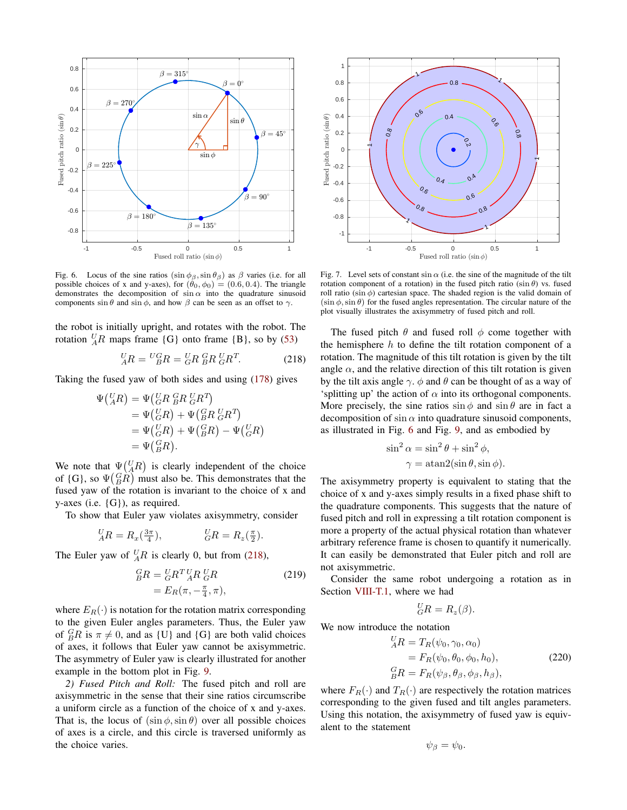<span id="page-16-1"></span>

Fig. 6. Locus of the sine ratios  $(\sin \phi_\beta, \sin \theta_\beta)$  as  $\beta$  varies (i.e. for all possible choices of x and y-axes), for  $(\theta_0, \phi_0) = (0.6, 0.4)$ . The triangle demonstrates the decomposition of  $\sin \alpha$  into the quadrature sinusoid components sin  $\theta$  and sin  $\phi$ , and how  $\beta$  can be seen as an offset to  $\gamma$ .

the robot is initially upright, and rotates with the robot. The rotation  ${}_{A}^{U}R$  maps frame {G} onto frame {B}, so by [\(53\)](#page-8-1)

$$
{}_{A}^{U}R = {}_{B}^{U}R = {}_{G}^{U}R {}_{B}^{G}R {}_{G}^{U}R
$$
\n
$$
(218)
$$

Taking the fused yaw of both sides and using [\(178\)](#page-13-1) gives

$$
\Psi({^U_A}R) = \Psi({^U_G}R\, {^G_B}R\, {^U_G}R^T) \n= \Psi({^U_G}R) + \Psi({^G_B}R\, {^U_G}R^T) \n= \Psi({^U_G}R) + \Psi({^G_B}R) - \Psi({^U_G}R) \n= \Psi({^G_B}R).
$$

We note that  $\Psi(\mathcal{U}_A R)$  is clearly independent of the choice of {G}, so  $\Psi\left(\frac{G}{B}R\right)$  must also be. This demonstrates that the fused yaw of the rotation is invariant to the choice of x and y-axes (i.e. {G}), as required.

To show that Euler yaw violates axisymmetry, consider

$$
{}_{A}^{U}R = R_{x}(\frac{3\pi}{4}), \qquad \qquad {}_{G}^{U}R = R_{z}(\frac{\pi}{2}).
$$

The Euler yaw of  ${}_{A}^{U}R$  is clearly 0, but from [\(218\)](#page-16-0),

$$
{}_{B}^{G}R = {}_{G}^{U}R^{T} {}_{A}^{U} R {}_{G}^{U} R
$$

$$
= E_{R}(\pi, -\frac{\pi}{4}, \pi),
$$
 (219)

where  $E_R(\cdot)$  is notation for the rotation matrix corresponding to the given Euler angles parameters. Thus, the Euler yaw of  ${}_{B}^{G}R$  is  $\pi \neq 0$ , and as {U} and {G} are both valid choices of axes, it follows that Euler yaw cannot be axisymmetric. The asymmetry of Euler yaw is clearly illustrated for another example in the bottom plot in Fig. [9.](#page-17-1)

*2) Fused Pitch and Roll:* The fused pitch and roll are axisymmetric in the sense that their sine ratios circumscribe a uniform circle as a function of the choice of x and y-axes. That is, the locus of  $(\sin \phi, \sin \theta)$  over all possible choices of axes is a circle, and this circle is traversed uniformly as the choice varies.

<span id="page-16-4"></span>

Fig. 7. Level sets of constant sin  $\alpha$  (i.e. the sine of the magnitude of the tilt rotation component of a rotation) in the fused pitch ratio (sin  $\theta$ ) vs. fused roll ratio (sin  $\phi$ ) cartesian space. The shaded region is the valid domain of  $(\sin \phi, \sin \theta)$  for the fused angles representation. The circular nature of the plot visually illustrates the axisymmetry of fused pitch and roll.

<span id="page-16-0"></span>The fused pitch  $\theta$  and fused roll  $\phi$  come together with the hemisphere  $h$  to define the tilt rotation component of a rotation. The magnitude of this tilt rotation is given by the tilt angle  $\alpha$ , and the relative direction of this tilt rotation is given by the tilt axis angle  $\gamma$ .  $\phi$  and  $\theta$  can be thought of as a way of 'splitting up' the action of  $\alpha$  into its orthogonal components. More precisely, the sine ratios  $\sin \phi$  and  $\sin \theta$  are in fact a decomposition of  $\sin \alpha$  into quadrature sinusoid components, as illustrated in Fig. [6](#page-16-1) and Fig. [9,](#page-17-1) and as embodied by

$$
\sin^2 \alpha = \sin^2 \theta + \sin^2 \phi,
$$
  

$$
\gamma = \operatorname{atan2}(\sin \theta, \sin \phi).
$$

The axisymmetry property is equivalent to stating that the choice of x and y-axes simply results in a fixed phase shift to the quadrature components. This suggests that the nature of fused pitch and roll in expressing a tilt rotation component is more a property of the actual physical rotation than whatever arbitrary reference frame is chosen to quantify it numerically. It can easily be demonstrated that Euler pitch and roll are not axisymmetric.

<span id="page-16-2"></span>Consider the same robot undergoing a rotation as in Section [VIII-T.1,](#page-15-2) where we had

$$
{}_{G}^{U}R=R_{z}(\beta).
$$

<span id="page-16-3"></span>We now introduce the notation

$$
{}_{A}^{U}R = T_{R}(\psi_{0}, \gamma_{0}, \alpha_{0})
$$
  
=  $F_{R}(\psi_{0}, \theta_{0}, \phi_{0}, h_{0}),$   

$$
{}_{B}^{G}R = F_{R}(\psi_{\beta}, \theta_{\beta}, \phi_{\beta}, h_{\beta}),
$$
 (220)

where  $F_R(\cdot)$  and  $T_R(\cdot)$  are respectively the rotation matrices corresponding to the given fused and tilt angles parameters. Using this notation, the axisymmetry of fused yaw is equivalent to the statement

$$
\psi_{\beta}=\psi_0.
$$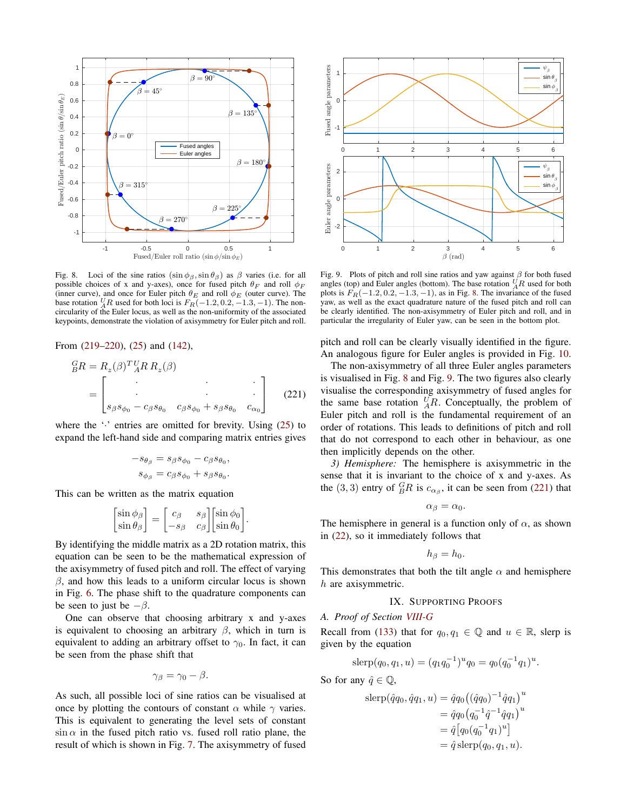<span id="page-17-2"></span>

Fig. 8. Loci of the sine ratios  $(\sin \phi_\beta, \sin \theta_\beta)$  as  $\beta$  varies (i.e. for all possible choices of x and y-axes), once for fused pitch  $\theta_F$  and roll  $\phi_F$ (inner curve), and once for Euler pitch  $\theta_E$  and roll  $\phi_E$  (outer curve). The base rotation  ${}_{A}^{U}R$  used for both loci is  $F_{R}(-1.2, 0.2, -1.3, -1)$ . The noncircularity of the Euler locus, as well as the non-uniformity of the associated keypoints, demonstrate the violation of axisymmetry for Euler pitch and roll.

From [\(219](#page-16-2)[–220\)](#page-16-3), [\(25\)](#page-5-6) and [\(142\)](#page-12-3),

$$
{}_{B}^{G}R = R_{z}(\beta)^{T} {}_{A}^{U}R R_{z}(\beta)
$$
  
= 
$$
\begin{bmatrix} \cdot & \cdot & \cdot \\ \cdot & \cdot & \cdot \\ s_{\beta} s_{\phi_{0}} - c_{\beta} s_{\theta_{0}} & c_{\beta} s_{\phi_{0}} + s_{\beta} s_{\theta_{0}} & c_{\alpha_{0}} \end{bmatrix}
$$
(221)

where the  $\cdot$  entries are omitted for brevity. Using  $(25)$  to expand the left-hand side and comparing matrix entries gives

$$
-s_{\theta_{\beta}} = s_{\beta}s_{\phi_0} - c_{\beta}s_{\theta_0},
$$
  

$$
s_{\phi_{\beta}} = c_{\beta}s_{\phi_0} + s_{\beta}s_{\theta_0}.
$$

This can be written as the matrix equation

$$
\begin{bmatrix} \sin \phi_{\beta} \\ \sin \theta_{\beta} \end{bmatrix} = \begin{bmatrix} c_{\beta} & s_{\beta} \\ -s_{\beta} & c_{\beta} \end{bmatrix} \begin{bmatrix} \sin \phi_{0} \\ \sin \theta_{0} \end{bmatrix}.
$$

By identifying the middle matrix as a 2D rotation matrix, this equation can be seen to be the mathematical expression of the axisymmetry of fused pitch and roll. The effect of varying  $\beta$ , and how this leads to a uniform circular locus is shown in Fig. [6.](#page-16-1) The phase shift to the quadrature components can be seen to just be  $-\beta$ .

One can observe that choosing arbitrary x and y-axes is equivalent to choosing an arbitrary  $\beta$ , which in turn is equivalent to adding an arbitrary offset to  $\gamma_0$ . In fact, it can be seen from the phase shift that

$$
\gamma_{\beta}=\gamma_0-\beta.
$$

As such, all possible loci of sine ratios can be visualised at once by plotting the contours of constant  $\alpha$  while  $\gamma$  varies. This is equivalent to generating the level sets of constant  $\sin \alpha$  in the fused pitch ratio vs. fused roll ratio plane, the result of which is shown in Fig. [7.](#page-16-4) The axisymmetry of fused

<span id="page-17-1"></span>

Fig. 9. Plots of pitch and roll sine ratios and yaw against  $\beta$  for both fused angles (top) and Euler angles (bottom). The base rotation  $^U_{\mathcal{A}}R$  used for both plots is  $F_R(-1.2, 0.2, -1.3, -1)$ , as in Fig. [8.](#page-17-2) The invariance of the fused yaw, as well as the exact quadrature nature of the fused pitch and roll can be clearly identified. The non-axisymmetry of Euler pitch and roll, and in particular the irregularity of Euler yaw, can be seen in the bottom plot.

pitch and roll can be clearly visually identified in the figure. An analogous figure for Euler angles is provided in Fig. [10.](#page-18-2)

<span id="page-17-3"></span>The non-axisymmetry of all three Euler angles parameters is visualised in Fig. [8](#page-17-2) and Fig. [9.](#page-17-1) The two figures also clearly visualise the corresponding axisymmetry of fused angles for the same base rotation  ${}_{A}^{U}R$ . Conceptually, the problem of Euler pitch and roll is the fundamental requirement of an order of rotations. This leads to definitions of pitch and roll that do not correspond to each other in behaviour, as one then implicitly depends on the other.

*3) Hemisphere:* The hemisphere is axisymmetric in the sense that it is invariant to the choice of x and y-axes. As the (3, 3) entry of  ${}_{B}^{G}R$  is  $c_{\alpha\beta}$ , it can be seen from [\(221\)](#page-17-3) that

$$
\alpha_{\beta}=\alpha_0.
$$

The hemisphere in general is a function only of  $\alpha$ , as shown in [\(22\)](#page-4-9), so it immediately follows that

$$
h_{\beta}=h_0.
$$

This demonstrates that both the tilt angle  $\alpha$  and hemisphere h are axisymmetric.

#### IX. SUPPORTING PROOFS

#### <span id="page-17-0"></span>*A. Proof of Section [VIII-G](#page-11-2)*

Recall from [\(133\)](#page-11-3) that for  $q_0, q_1 \in \mathbb{Q}$  and  $u \in \mathbb{R}$ , slerp is given by the equation

$$
slerp(q_0, q_1, u) = (q_1 q_0^{-1})^u q_0 = q_0 (q_0^{-1} q_1)^u.
$$

So for any  $\hat{q} \in \mathbb{Q}$ ,

slerp(
$$
\hat{q}q_0, \hat{q}q_1, u
$$
) =  $\hat{q}q_0 \left( (\hat{q}q_0)^{-1} \hat{q}q_1 \right)^u$   
 =  $\hat{q}q_0 \left( q_0^{-1} \hat{q}^{-1} \hat{q}q_1 \right)^u$   
 =  $\hat{q} \left[ q_0 (q_0^{-1} q_1)^u \right]$   
 =  $\hat{q} \operatorname{slerp}(q_0, q_1, u)$ .